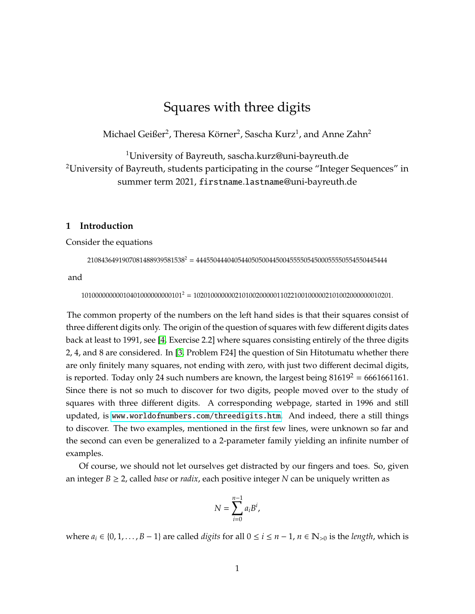# Squares with three digits

Michael Geißer<sup>2</sup>, Theresa Körner<sup>2</sup>, Sascha Kurz<sup>1</sup>, and Anne Zahn<sup>2</sup>

<sup>1</sup>University of Bayreuth, sascha.kurz@uni-bayreuth.de <sup>2</sup>University of Bayreuth, students participating in the course "Integer Sequences" in summer term 2021, firstname.lastname@uni-bayreuth.de

## **1 Introduction**

Consider the equations

 $2108436491907081488939581538^2 = 4445504440405440505004450045555054500055550554550445444$ 

and

10100000000010401000000000101<sup>2</sup> = 102010000000210100200000110221001000002101002000000010201.

The common property of the numbers on the left hand sides is that their squares consist of three different digits only. The origin of the question of squares with few different digits dates back at least to 1991, see [\[4,](#page-38-0) Exercise 2.2] where squares consisting entirely of the three digits 2, 4, and 8 are considered. In [\[3,](#page-38-1) Problem F24] the question of Sin Hitotumatu whether there are only finitely many squares, not ending with zero, with just two different decimal digits, is reported. Today only 24 such numbers are known, the largest being  $81619^2 = 6661661161$ . Since there is not so much to discover for two digits, people moved over to the study of squares with three different digits. A corresponding webpage, started in 1996 and still updated, is <www.worldofnumbers.com/threedigits.htm>. And indeed, there a still things to discover. The two examples, mentioned in the first few lines, were unknown so far and the second can even be generalized to a 2-parameter family yielding an infinite number of examples.

Of course, we should not let ourselves get distracted by our fingers and toes. So, given an integer  $B \ge 2$ , called *base* or *radix*, each positive integer N can be uniquely written as

$$
N=\sum_{i=0}^{n-1}a_iB^i,
$$

where  $a_i$  ∈ {0, 1, . . . , *B* − 1} are called *digits* for all  $0 \le i \le n - 1$ ,  $n \in \mathbb{N}_{>0}$  is the *length*, which is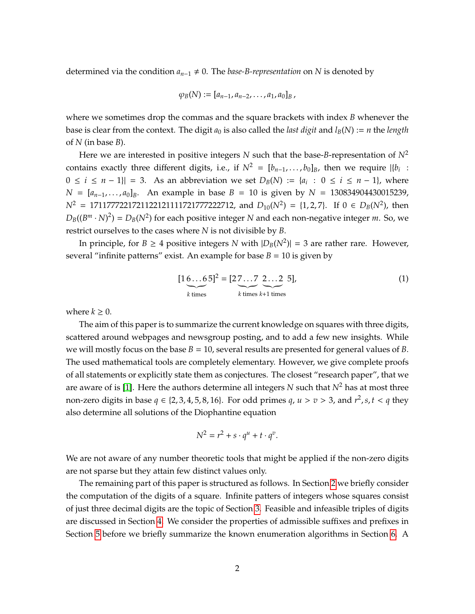determined via the condition  $a_{n-1} \neq 0$ . The *base-B-representation* on *N* is denoted by

$$
\varphi_B(N) := [a_{n-1}, a_{n-2}, \ldots, a_1, a_0]_B,
$$

where we sometimes drop the commas and the square brackets with index *B* whenever the base is clear from the context. The digit  $a_0$  is also called the *last digit* and  $l_B(N) := n$  the *length* of *N* (in base *B*).

Here we are interested in positive integers *N* such that the base-*B*-representation of  $N^2$ contains exactly three different digits, i.e., if  $N^2 = [b_{n-1}, \ldots, b_0]_B$ , then we require  $|\{b_i\}$ :  $0 \le i \le n-1$ || = 3. As an abbreviation we set  $D_B(N) := \{a_i : 0 \le i \le n-1\}$ , where  $N = [a_{n-1}, \ldots, a_0]_B$ . An example in base  $B = 10$  is given by  $N = 130834904430015239$ ,  $N^2$  = 1711777221721122121111721777222712, and  $D_{10}(N^2)$  = {1, 2, 7}. If 0 ∈  $D_B(N^2)$ , then  $D_B((B^m \cdot N)^2) = D_B(N^2)$  for each positive integer *N* and each non-negative integer *m*. So, we restrict ourselves to the cases where *N* is not divisible by *B*.

In principle, for  $B \ge 4$  positive integers *N* with  $|D_B(N^2)| = 3$  are rather rare. However, several "infinite patterns" exist. An example for base  $B = 10$  is given by

<span id="page-1-0"></span>
$$
[1 \underbrace{6...6}_{k \text{ times}} 5]^2 = [2 \underbrace{7...7}_{k \text{ times}} \underbrace{2...2}_{k+1 \text{ times}} 5],
$$
 (1)

where  $k \geq 0$ .

The aim of this paper is to summarize the current knowledge on squares with three digits, scattered around webpages and newsgroup posting, and to add a few new insights. While we will mostly focus on the base  $B = 10$ , several results are presented for general values of  $B$ . The used mathematical tools are completely elementary. However, we give complete proofs of all statements or explicitly state them as conjectures. The closest "research paper", that we are aware of is [\[1\]](#page-38-2). Here the authors determine all integers *N* such that  $N^2$  has at most three non-zero digits in base  $q \in \{2, 3, 4, 5, 8, 16\}$ . For odd primes  $q$ ,  $u > v > 3$ , and  $r^2$ ,  $s, t < q$  they also determine all solutions of the Diophantine equation

$$
N^2 = r^2 + s \cdot q^u + t \cdot q^v.
$$

We are not aware of any number theoretic tools that might be applied if the non-zero digits are not sparse but they attain few distinct values only.

The remaining part of this paper is structured as follows. In Section [2](#page-2-0) we briefly consider the computation of the digits of a square. Infinite patters of integers whose squares consist of just three decimal digits are the topic of Section [3.](#page-4-0) Feasible and infeasible triples of digits are discussed in Section [4.](#page-28-0) We consider the properties of admissible suffixes and prefixes in Section [5](#page-29-0) before we briefly summarize the known enumeration algorithms in Section [6.](#page-35-0) A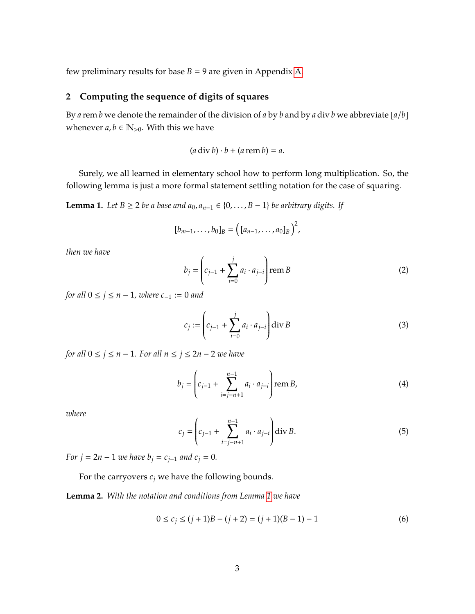few preliminary results for base  $B = 9$  are given in Appendix [A.](#page-38-3)

## <span id="page-2-0"></span>**2 Computing the sequence of digits of squares**

By *a* rem *b* we denote the remainder of the division of *a* by *b* and by *a* div *b* we abbreviate  $\lfloor a/b \rfloor$ whenever  $a, b \in \mathbb{N}_{>0}$ . With this we have

$$
(a \operatorname{div} b) \cdot b + (a \operatorname{rem} b) = a.
$$

Surely, we all learned in elementary school how to perform long multiplication. So, the following lemma is just a more formal statement settling notation for the case of squaring.

<span id="page-2-1"></span>**Lemma 1.** *Let B* ≥ 2 *be a base and*  $a_0$ *,*  $a_{n-1}$  ∈ {0, . . . , *B* − 1} *be arbitrary digits. If* 

$$
[b_{m-1},\ldots,b_0]_B=\big(\,[a_{n-1},\ldots,a_0]_B\,\big)^2,
$$

*then we have*

$$
b_{j} = \left(c_{j-1} + \sum_{i=0}^{j} a_{i} \cdot a_{j-i}\right) \text{rem } B
$$
 (2)

*for all*  $0 \le j \le n - 1$ *, where*  $c_{-1} := 0$  *and* 

$$
c_j := \left( c_{j-1} + \sum_{i=0}^{j} a_i \cdot a_{j-i} \right) \text{div } B
$$
 (3)

*for all*  $0 \le j \le n - 1$ *. For all*  $n \le j \le 2n - 2$  *we have* 

$$
b_j = \left(c_{j-1} + \sum_{i=j-n+1}^{n-1} a_i \cdot a_{j-i}\right) \text{rem } B,\tag{4}
$$

*where*

$$
c_j = \left(c_{j-1} + \sum_{i=j-n+1}^{n-1} a_i \cdot a_{j-i}\right) \text{div } B. \tag{5}
$$

*For*  $j = 2n - 1$  *we have*  $b_j = c_{j-1}$  *and*  $c_j = 0$ *.* 

For the carryovers  $c_j$  we have the following bounds.

<span id="page-2-2"></span>**Lemma 2.** *With the notation and conditions from Lemma [1](#page-2-1) we have*

$$
0 \le c_j \le (j+1)B - (j+2) = (j+1)(B-1) - 1 \tag{6}
$$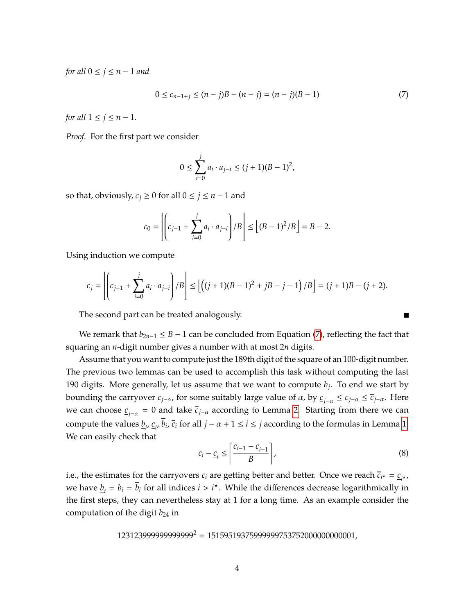*for all*  $0 \le j \le n - 1$  *and* 

<span id="page-3-0"></span>
$$
0 \le c_{n-1+j} \le (n-j)B - (n-j) = (n-j)(B-1) \tag{7}
$$

*for all*  $1 \leq j \leq n-1$ *.* 

*Proof.* For the first part we consider

$$
0 \le \sum_{i=0}^{j} a_i \cdot a_{j-i} \le (j+1)(B-1)^2,
$$

so that, obviously,  $c_j \geq 0$  for all  $0 \leq j \leq n-1$  and

$$
c_0 = \left| \left( c_{j-1} + \sum_{i=0}^{j} a_i \cdot a_{j-i} \right) / B \right| \le \left[ (B-1)^2 / B \right] = B - 2.
$$

Using induction we compute

$$
c_j = \left| \left( c_{j-1} + \sum_{i=0}^j a_i \cdot a_{j-i} \right) / B \right| \le \left[ \left( (j+1)(B-1)^2 + jB - j - 1 \right) / B \right] = (j+1)B - (j+2).
$$

The second part can be treated analogously.

We remark that  $b_{2n-1} \leq B-1$  can be concluded from Equation [\(7\)](#page-3-0), reflecting the fact that squaring an *n*-digit number gives a number with at most 2*n* digits.

Assume that you want to compute just the 189th digit of the square of an 100-digit number. The previous two lemmas can be used to accomplish this task without computing the last 190 digits. More generally, let us assume that we want to compute *b<sup>j</sup>* . To end we start by bounding the carryover  $c_{j-\alpha}$ , for some suitably large value of  $\alpha$ , by  $c_{j-\alpha} \le c_{j-\alpha} \le \overline{c}_{j-\alpha}$ . Here we can choose *c j*−α = 0 and take *cj*−<sup>α</sup> according to Lemma [2.](#page-2-2) Starting from there we can compute the values  $\underline{b}_i$ ,  $\underline{c}_i$ ,  $\overline{b}_i$ ,  $\overline{c}_i$  for all  $j - \alpha + 1 \le i \le j$  according to the formulas in Lemma [1.](#page-2-1) We can easily check that

$$
\overline{c}_i - \underline{c}_i \le \left\lceil \frac{\overline{c}_{i-1} - \underline{c}_{i-1}}{B} \right\rceil,\tag{8}
$$

i.e., the estimates for the carryovers  $c_i$  are getting better and better. Once we reach  $\bar{c}_{i^*} = \underline{c}_{i^*}$ , we have  $\underline{b}_i = b_i = \overline{b}_i$  for all indices  $i > i^*$ . While the differences decrease logarithmically in the first steps, they can nevertheless stay at 1 for a long time. As an example consider the computation of the digit *b*<sup>24</sup> in

$$
123123999999999999^2 = 1515951937599999753752000000000001,
$$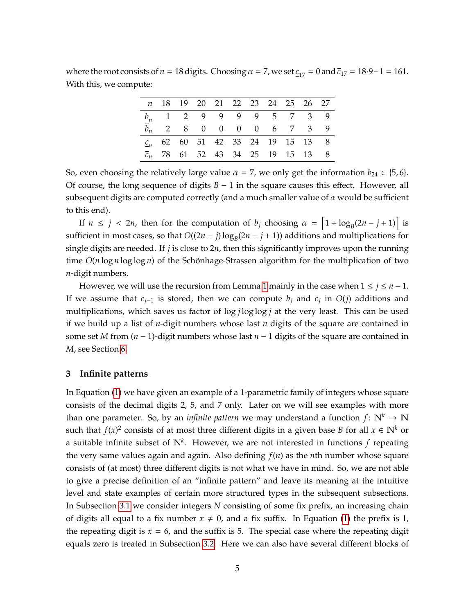where the root consists of *n* = 18 digits. Choosing  $\alpha = 7$ , we set  $c_{17} = 0$  and  $\bar{c}_{17} = 18.9 - 1 = 161$ . With this, we compute:

|  |  |  |  | n 18 19 20 21 22 23 24 25 26 27<br>$\underline{b}_n$ 1 2 9 9 9 9 9 5 7 3 9<br>2 8 0 0 0 0 6 7 3 9<br>$c_n$ 62 60 51 42 33 24 19 15 13 8<br>$\overline{c}_n$ 78 61 52 43 34 25 19 15 13 8 |
|--|--|--|--|------------------------------------------------------------------------------------------------------------------------------------------------------------------------------------------|

So, even choosing the relatively large value  $\alpha = 7$ , we only get the information  $b_{24} \in \{5, 6\}$ . Of course, the long sequence of digits *B* − 1 in the square causes this effect. However, all subsequent digits are computed correctly (and a much smaller value of  $\alpha$  would be sufficient to this end).

If  $n \le j < 2n$ , then for the computation of  $b_j$  choosing  $\alpha = \left[1 + \log_B(2n - j + 1)\right]$  is sufficient in most cases, so that  $O((2n - j) \log_B(2n - j + 1))$  additions and multiplications for single digits are needed. If *j* is close to 2*n*, then this significantly improves upon the running time  $O(n \log n \log \log n)$  of the Schönhage-Strassen algorithm for the multiplication of two *n*-digit numbers.

However, we will use the recursion from Lemma [1](#page-2-1) mainly in the case when  $1 \le j \le n - 1$ . If we assume that *cj*−<sup>1</sup> is stored, then we can compute *b<sup>j</sup>* and *c<sup>j</sup>* in *O*(*j*) additions and multiplications, which saves us factor of log *j* log log *j* at the very least. This can be used if we build up a list of *n*-digit numbers whose last *n* digits of the square are contained in some set *M* from (*n* − 1)-digit numbers whose last *n* − 1 digits of the square are contained in *M*, see Section [6.](#page-35-0)

#### <span id="page-4-0"></span>**3 Infinite patterns**

In Equation [\(1\)](#page-1-0) we have given an example of a 1-parametric family of integers whose square consists of the decimal digits 2, 5, and 7 only. Later on we will see examples with more than one parameter. So, by an *infinite pattern* we may understand a function  $f: \mathbb{N}^k \to \mathbb{N}$ such that  $f(x)^2$  consists of at most three different digits in a given base *B* for all  $x \in \mathbb{N}^k$  or a suitable infinite subset of N*<sup>k</sup>* . However, we are not interested in functions *f* repeating the very same values again and again. Also defining *f*(*n*) as the *n*th number whose square consists of (at most) three different digits is not what we have in mind. So, we are not able to give a precise definition of an "infinite pattern" and leave its meaning at the intuitive level and state examples of certain more structured types in the subsequent subsections. In Subsection [3.1](#page-5-0) we consider integers *N* consisting of some fix prefix, an increasing chain of digits all equal to a fix number  $x \neq 0$ , and a fix suffix. In Equation [\(1\)](#page-1-0) the prefix is 1, the repeating digit is  $x = 6$ , and the suffix is 5. The special case where the repeating digit equals zero is treated in Subsection [3.2.](#page-11-0) Here we can also have several different blocks of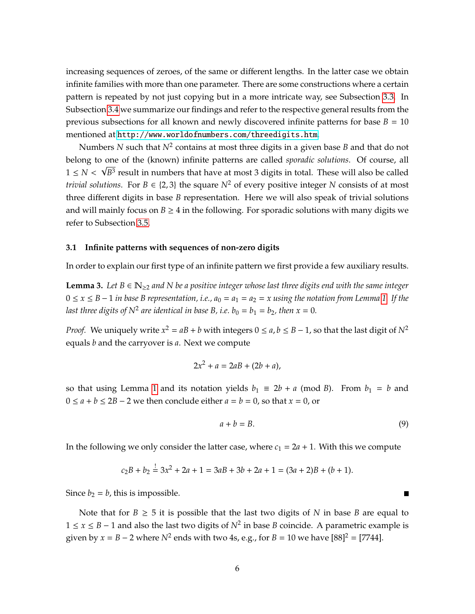increasing sequences of zeroes, of the same or different lengths. In the latter case we obtain infinite families with more than one parameter. There are some constructions where a certain pattern is repeated by not just copying but in a more intricate way, see Subsection [3.3.](#page-23-0) In Subsection [3.4](#page-28-1) we summarize our findings and refer to the respective general results from the previous subsections for all known and newly discovered infinite patterns for base  $B = 10$ mentioned at <http://www.worldofnumbers.com/threedigits.htm>.

Numbers *N* such that *N*<sup>2</sup> contains at most three digits in a given base *B* and that do not belong to one of the (known) infinite patterns are called *sporadic solutions*. Of course, all √  $1 \leq N < \sqrt{B^3}$  result in numbers that have at most 3 digits in total. These will also be called *trivial solutions.* For  $B \in \{2, 3\}$  the square  $N^2$  of every positive integer N consists of at most three different digits in base *B* representation. Here we will also speak of trivial solutions and will mainly focus on  $B \geq 4$  in the following. For sporadic solutions with many digits we refer to Subsection [3.5.](#page-28-2)

## <span id="page-5-0"></span>**3.1 Infinite patterns with sequences of non-zero digits**

In order to explain our first type of an infinite pattern we first provide a few auxiliary results.

<span id="page-5-1"></span>**Lemma 3.** Let  $B \in \mathbb{N}_{\geq 2}$  and N be a positive integer whose last three digits end with the same integer  $0 \le x \le B - 1$  *in base B representation, i.e., a*<sup>0</sup> =  $a_1 = a_2 = x$  *using the notation from Lemma* [1.](#page-2-1) If the *last three digits of*  $N^2$  *are identical in base B, i.e.*  $b_0 = b_1 = b_2$ *, then*  $x = 0$ *.* 

*Proof.* We uniquely write  $x^2 = aB + b$  with integers  $0 \le a, b \le B - 1$ , so that the last digit of  $N^2$ equals *b* and the carryover is *a*. Next we compute

$$
2x^2 + a = 2aB + (2b + a),
$$

so that using Lemma [1](#page-2-1) and its notation yields  $b_1 \equiv 2b + a \pmod{B}$ . From  $b_1 = b$  and  $0 ≤ a + b ≤ 2B - 2$  we then conclude either  $a = b = 0$ , so that  $x = 0$ , or

$$
a + b = B. \tag{9}
$$

In the following we only consider the latter case, where  $c_1 = 2a + 1$ . With this we compute

$$
c_2B + b_2 = 3x^2 + 2a + 1 = 3aB + 3b + 2a + 1 = (3a + 2)B + (b + 1).
$$

Since  $b_2 = b$ , this is impossible.

Note that for  $B \geq 5$  it is possible that the last two digits of *N* in base *B* are equal to 1 ≤ *x* ≤ *B* − 1 and also the last two digits of *N*<sup>2</sup> in base *B* coincide. A parametric example is given by  $x = B - 2$  where  $N^2$  ends with two 4s, e.g., for  $B = 10$  we have  $[88]^2 = [7744]$ .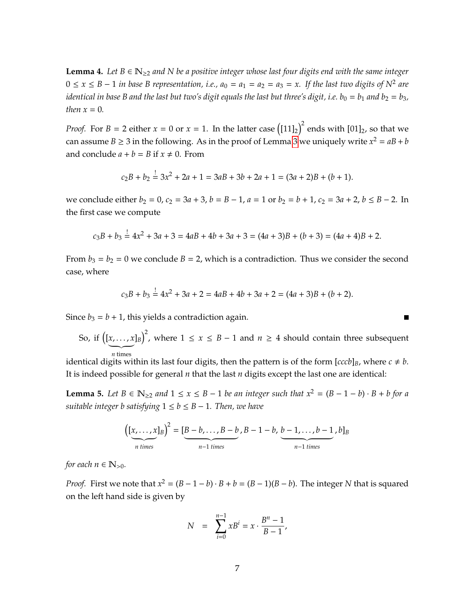**Lemma 4.** Let  $B \in \mathbb{N}_{\geq 2}$  and N be a positive integer whose last four digits end with the same integer  $0 \le x \le B - 1$  *in base B representation, i.e., a*<sup>0</sup> =  $a_1 = a_2 = a_3 = x$ . If the last two digits of N<sup>2</sup> are *identical in base B and the last but two's digit equals the last but three's digit, i.e.*  $b_0 = b_1$  *and*  $b_2 = b_3$ *, then*  $x = 0$ *.* 

*Proof.* For  $B = 2$  either  $x = 0$  or  $x = 1$ . In the latter case  $\left(\frac{[11]_2}{\right)^2}$  ends with  $[01]_2$ , so that we can assume  $B \ge 3$  $B \ge 3$  in the following. As in the proof of Lemma 3 we uniquely write  $x^2 = aB + b$ and conclude  $a + b = B$  if  $x \ne 0$ . From

$$
c_2B + b_2 = 3x^2 + 2a + 1 = 3aB + 3b + 2a + 1 = (3a + 2)B + (b + 1).
$$

we conclude either  $b_2 = 0$ ,  $c_2 = 3a + 3$ ,  $b = B - 1$ ,  $a = 1$  or  $b_2 = b + 1$ ,  $c_2 = 3a + 2$ ,  $b \le B - 2$ . In the first case we compute

$$
c_3B + b_3 = 4x^2 + 3a + 3 = 4aB + 4b + 3a + 3 = (4a + 3)B + (b + 3) = (4a + 4)B + 2.
$$

From  $b_3 = b_2 = 0$  we conclude  $B = 2$ , which is a contradiction. Thus we consider the second case, where

$$
c_3B + b_3 = 4x^2 + 3a + 2 = 4aB + 4b + 3a + 2 = (4a + 3)B + (b + 2).
$$

Since  $b_3 = b + 1$ , this yields a contradiction again.

So, if 
$$
([x, ..., x]_B)^2
$$
, where  $1 \le x \le B - 1$  and  $n \ge 4$  should contain three subsequent *n* times

П

*n* times *n* times the interest of the form  $\lbrack ccb\rbrack_{B}$ , where  $c\neq b$ . It is indeed possible for general *n* that the last *n* digits except the last one are identical:

<span id="page-6-0"></span>**Lemma 5.** *Let B* ∈  $\mathbb{N}_{\geq 2}$  *and*  $1 \leq x \leq B - 1$  *be an integer such that*  $x^2 = (B - 1 - b) \cdot B + b$  *for a suitable integer b satisfying*  $1 \leq b \leq B - 1$ *. Then, we have* 

$$
\left(\underbrace{[x,\ldots,x]}_{n \text{ times}}\right)^2 = \underbrace{[B-b,\ldots,B-b]}_{n-1 \text{ times}}, B-1-b, \underbrace{b-1,\ldots,b-1}_{n-1 \text{ times}}, b]_B
$$

*for each*  $n \in \mathbb{N}_{>0}$ *.* 

*Proof.* First we note that  $x^2 = (B - 1 - b) \cdot B + b = (B - 1)(B - b)$ . The integer *N* that is squared on the left hand side is given by

$$
N = \sum_{i=0}^{n-1} x B^i = x \cdot \frac{B^n - 1}{B - 1},
$$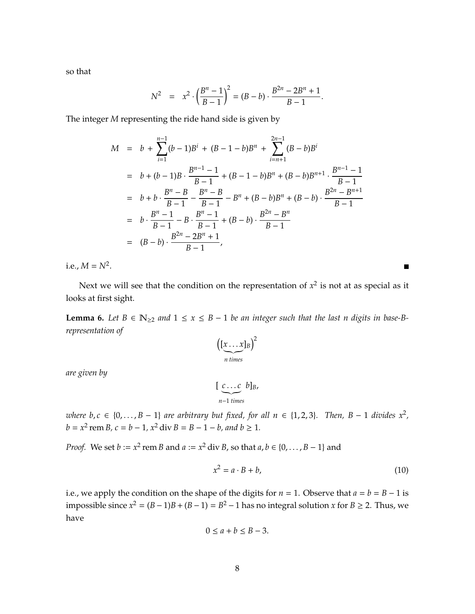so that

$$
N^2 = x^2 \cdot \left(\frac{B^n - 1}{B - 1}\right)^2 = (B - b) \cdot \frac{B^{2n} - 2B^n + 1}{B - 1}.
$$

The integer *M* representing the ride hand side is given by

$$
M = b + \sum_{i=1}^{n-1} (b-1)B^{i} + (B-1-b)B^{n} + \sum_{i=n+1}^{2n-1} (B-b)B^{i}
$$
  
\n
$$
= b + (b-1)B \cdot \frac{B^{n-1}-1}{B-1} + (B-1-b)B^{n} + (B-b)B^{n+1} \cdot \frac{B^{n-1}-1}{B-1}
$$
  
\n
$$
= b + b \cdot \frac{B^{n}-B}{B-1} - \frac{B^{n}-B}{B-1} - B^{n} + (B-b)B^{n} + (B-b) \cdot \frac{B^{2n}-B^{n+1}}{B-1}
$$
  
\n
$$
= b \cdot \frac{B^{n}-1}{B-1} - B \cdot \frac{B^{n}-1}{B-1} + (B-b) \cdot \frac{B^{2n}-B^{n}}{B-1}
$$
  
\n
$$
= (B-b) \cdot \frac{B^{2n}-2B^{n}+1}{B-1},
$$

i.e.,  $M = N^2$ .

Next we will see that the condition on the representation of  $x^2$  is not at as special as it looks at first sight.

<span id="page-7-0"></span>**Lemma 6.** *Let*  $B \in \mathbb{N}_{\geq 2}$  *and*  $1 \leq x \leq B - 1$  *be an integer such that the last n digits in base-Brepresentation of*

$$
\left(\left[\underset{n \text{ times}}{\underbrace{x \dots x}}\right]_B\right)^2
$$

*are given by*

$$
\left[\underbrace{c \ldots c}_{n-1 \text{ times}} b\right]_B,
$$

*where b*,  $c \in \{0, \ldots, B-1\}$  *are arbitrary but fixed, for all*  $n \in \{1, 2, 3\}$ . Then,  $B - 1$  *divides*  $x^2$ ,  $b = x^2$  rem *B*,  $c = b - 1$ ,  $x^2$  div  $B = B - 1 - b$ , and  $b \ge 1$ .

*Proof.* We set *b* :=  $x^2$  rem *B* and  $a := x^2$  div *B*, so that  $a, b \in \{0, ..., B - 1\}$  and

$$
x^2 = a \cdot B + b,\tag{10}
$$

i.e., we apply the condition on the shape of the digits for  $n = 1$ . Observe that  $a = b = B - 1$  is impossible since  $x^2 = (B-1)B + (B-1) = B^2 - 1$  has no integral solution *x* for *B* ≥ 2. Thus, we have

$$
0 \le a + b \le B - 3.
$$

 $\blacksquare$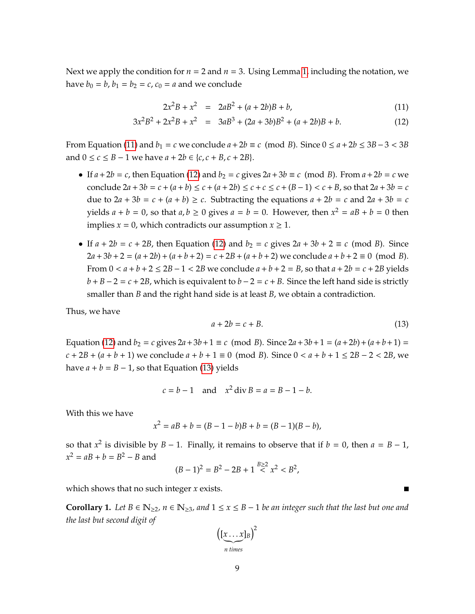Next we apply the condition for  $n = 2$  and  $n = 3$ . Using Lemma [1,](#page-2-1) including the notation, we have  $b_0 = b$ ,  $b_1 = b_2 = c$ ,  $c_0 = a$  and we conclude

<span id="page-8-0"></span>
$$
2x^2B + x^2 = 2aB^2 + (a+2b)B + b,\tag{11}
$$

$$
3x2B2 + 2x2B + x2 = 3aB3 + (2a + 3b)B2 + (a + 2b)B + b.
$$
 (12)

From Equation [\(11\)](#page-8-0) and  $b_1 = c$  we conclude  $a + 2b \equiv c \pmod{B}$ . Since  $0 \le a + 2b \le 3B - 3 < 3B$ and  $0 \le c \le B - 1$  we have  $a + 2b \in \{c, c + B, c + 2B\}.$ 

- If  $a + 2b = c$ , then Equation [\(12\)](#page-8-0) and  $b_2 = c$  gives  $2a + 3b \equiv c \pmod{B}$ . From  $a + 2b = c$  we conclude  $2a + 3b = c + (a + b) \le c + (a + 2b) \le c + c \le c + (B - 1) < c + B$ , so that  $2a + 3b = c$ due to  $2a + 3b = c + (a + b) \ge c$ . Subtracting the equations  $a + 2b = c$  and  $2a + 3b = c$ yields  $a + b = 0$ , so that  $a, b \ge 0$  gives  $a = b = 0$ . However, then  $x^2 = aB + b = 0$  then implies  $x = 0$ , which contradicts our assumption  $x \ge 1$ .
- If  $a + 2b = c + 2B$ , then Equation [\(12\)](#page-8-0) and  $b_2 = c$  gives  $2a + 3b + 2 \equiv c \pmod{B}$ . Since  $2a+3b+2 = (a+2b)+(a+b+2) = c+2B+(a+b+2)$  we conclude  $a+b+2 \equiv 0 \pmod{B}$ . From  $0 < a + b + 2 \le 2B - 1 < 2B$  we conclude  $a + b + 2 = B$ , so that  $a + 2b = c + 2B$  yields  $b + B - 2 = c + 2B$ , which is equivalent to  $b - 2 = c + B$ . Since the left hand side is strictly smaller than *B* and the right hand side is at least *B*, we obtain a contradiction.

Thus, we have

<span id="page-8-1"></span>
$$
a + 2b = c + B.\tag{13}
$$

 $\blacksquare$ 

Equation [\(12\)](#page-8-0) and  $b_2 = c$  gives  $2a + 3b + 1 \equiv c \pmod{B}$ . Since  $2a + 3b + 1 = (a + 2b) + (a + b + 1) =$  $c + 2B + (a + b + 1)$  we conclude  $a + b + 1 \equiv 0 \pmod{B}$ . Since  $0 < a + b + 1 \le 2B - 2 < 2B$ , we have  $a + b = B - 1$ , so that Equation [\(13\)](#page-8-1) yields

$$
c = b - 1
$$
 and  $x^2 \text{div } B = a = B - 1 - b$ .

With this we have

$$
x^2 = aB + b = (B - 1 - b)B + b = (B - 1)(B - b),
$$

so that  $x^2$  is divisible by  $B - 1$ . Finally, it remains to observe that if  $b = 0$ , then  $a = B - 1$ ,  $x^2 = aB + b = B^2 - B$  and

$$
(B-1)^2 = B^2 - 2B + 1 \stackrel{B \ge 2}{\lt} x^2 < B^2,
$$

which shows that no such integer *x* exists.

<span id="page-8-2"></span>**Corollary 1.** *Let*  $B \in \mathbb{N}_{\geq 2}$ ,  $n \in \mathbb{N}_{\geq 3}$ , and  $1 \leq x \leq B - 1$  *be an integer such that the last but one and the last but second digit of*

$$
\left(\underbrace{[x \dots x]}_{n \text{ times}}\right)^2
$$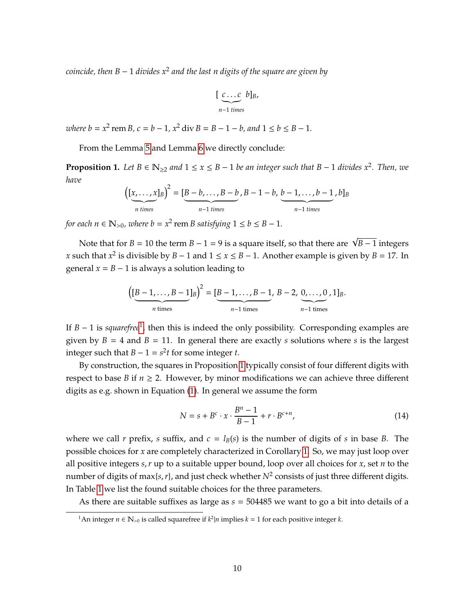*coincide, then B* − 1 *divides x*<sup>2</sup> *and the last n digits of the square are given by*

$$
\left[\underbrace{c...c}_{n-1 \text{ times}} b\right]_{B}
$$

 $where b = x^2$  rem  $B$ ,  $c = b - 1$ ,  $x^2$  div  $B = B - 1 - b$ , and  $1 \le b \le B - 1$ .

From the Lemma [5](#page-6-0) and Lemma [6](#page-7-0) we directly conclude:

<span id="page-9-1"></span>**Proposition 1.** Let  $B \in \mathbb{N}_{\geq 2}$  and  $1 \leq x \leq B-1$  be an integer such that  $B-1$  divides  $x^2$ . Then, we *have*

$$
\left(\underbrace{[x,\ldots,x]}_{n \text{ times}}\right)^2 = \underbrace{[B-b,\ldots,B-b}_{n-1 \text{ times}},B-1-b,\underbrace{b-1,\ldots,b-1}_{n-1 \text{ times}},b]_B
$$

*for each n*  $\in \mathbb{N}_{>0}$ *, where b* =  $x^2$  rem *B* satisfying  $1 \le b \le B - 1$ *.* 

Note that for *B* = 10 the term *B* − 1 = 9 is a square itself, so that there are  $\sqrt{B-1}$  integers *x* such that  $x^2$  is divisible by  $B - 1$  and  $1 \le x \le B - 1$ . Another example is given by  $B = 17$ . In general  $x = B - 1$  is always a solution leading to

$$
\left(\underbrace{[B-1,\ldots,B-1]}_{n \text{ times}}\right)^2 = \underbrace{[B-1,\ldots,B-1]}_{n-1 \text{ times}},\ B-2,\underbrace{0,\ldots,0}_{n-1 \text{ times}},1]_B.
$$

If *B* − [1](#page-9-0) is *squarefree*<sup>1</sup>, then this is indeed the only possibility. Corresponding examples are given by  $B = 4$  and  $B = 11$ . In general there are exactly *s* solutions where *s* is the largest integer such that *B* − 1 =  $s^2t$  for some integer *t*.

By construction, the squares in Proposition [1](#page-9-1) typically consist of four different digits with respect to base *B* if  $n \geq 2$ . However, by minor modifications we can achieve three different digits as e.g. shown in Equation [\(1\)](#page-1-0). In general we assume the form

<span id="page-9-2"></span>
$$
N = s + B^{c} \cdot x \cdot \frac{B^{n} - 1}{B - 1} + r \cdot B^{c+n},
$$
\n(14)

where we call *r* prefix, *s* suffix, and  $c = l_B(s)$  is the number of digits of *s* in base *B*. The possible choices for *x* are completely characterized in Corollary [1.](#page-8-2) So, we may just loop over all positive integers *s*,*r* up to a suitable upper bound, loop over all choices for *x*, set *n* to the number of digits of max{*s*,*r*}, and just check whether *N*<sup>2</sup> consists of just three different digits. In Table [1](#page-10-0) we list the found suitable choices for the three parameters.

As there are suitable suffixes as large as *s* = 504485 we want to go a bit into details of a

<span id="page-9-0"></span><sup>&</sup>lt;sup>1</sup>An integer *n* ∈  $\mathbb{N}_{>0}$  is called squarefree if  $k^2|n$  implies  $k = 1$  for each positive integer  $k$ .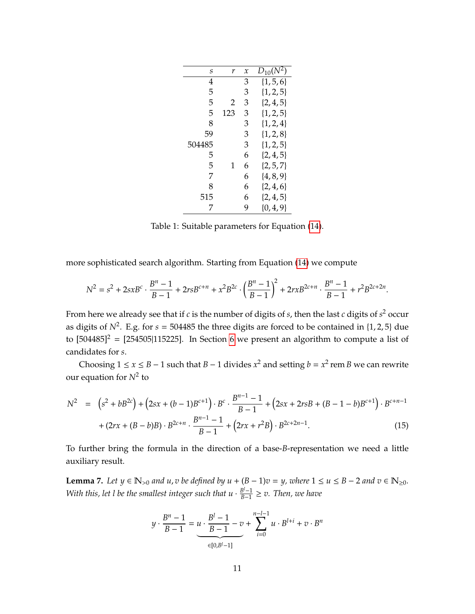<span id="page-10-0"></span>

| S      | r   | $\mathcal{X}$ | $D_{10}(N^2)$ |
|--------|-----|---------------|---------------|
| 4      |     | 3             | $\{1, 5, 6\}$ |
| 5      |     | 3             | $\{1, 2, 5\}$ |
| 5      | 2   | 3             | $\{2, 4, 5\}$ |
| 5      | 123 | 3             | $\{1, 2, 5\}$ |
| 8      |     | 3             | $\{1, 2, 4\}$ |
| 59     |     | 3             | $\{1, 2, 8\}$ |
| 504485 |     | 3             | $\{1, 2, 5\}$ |
| 5      |     | 6             | $\{2, 4, 5\}$ |
| 5      | 1   | 6             | $\{2, 5, 7\}$ |
| 7      |     | 6             | $\{4, 8, 9\}$ |
| 8      |     | 6             | $\{2, 4, 6\}$ |
| 515    |     | 6             | $\{2, 4, 5\}$ |
| 7      |     | 9             | $\{0, 4, 9\}$ |

Table 1: Suitable parameters for Equation [\(14\)](#page-9-2).

more sophisticated search algorithm. Starting from Equation [\(14\)](#page-9-2) we compute

$$
N^{2} = s^{2} + 2sxB^{c} \cdot \frac{B^{n} - 1}{B - 1} + 2rsB^{c+n} + x^{2}B^{2c} \cdot \left(\frac{B^{n} - 1}{B - 1}\right)^{2} + 2rxB^{2c+n} \cdot \frac{B^{n} - 1}{B - 1} + r^{2}B^{2c+2n}.
$$

From here we already see that if *c* is the number of digits of *s*, then the last *c* digits of *s* <sup>2</sup> occur as digits of  $N^2$ . E.g. for  $s = 504485$  the three digits are forced to be contained in  $\{1, 2, 5\}$  due to  $[504485]^2$  =  $[254505|115225]$ . In Section [6](#page-35-0) we present an algorithm to compute a list of candidates for *s*.

Choosing  $1 \le x \le B - 1$  such that  $B - 1$  divides  $x^2$  and setting  $b = x^2$  rem *B* we can rewrite our equation for *N*<sup>2</sup> to

$$
N^{2} = (s^{2} + bB^{2c}) + (2sx + (b - 1)B^{c+1}) \cdot B^{c} \cdot \frac{B^{n-1} - 1}{B - 1} + (2sx + 2rsB + (B - 1 - b)B^{c+1}) \cdot B^{c+n-1} + (2rx + (B - b)B) \cdot B^{2c+n} \cdot \frac{B^{n-1} - 1}{B - 1} + (2rx + r^{2}B) \cdot B^{2c+2n-1}.
$$
\n(15)

To further bring the formula in the direction of a base-*B*-representation we need a little auxiliary result.

**Lemma 7.** Let  $y \in \mathbb{N}_{>0}$  and  $u, v$  be defined by  $u + (B - 1)v = y$ , where  $1 \le u \le B - 2$  and  $v \in \mathbb{N}_{\ge 0}$ . *With this, let l be the smallest integer such that*  $u \cdot \frac{B^{l}-1}{B-1}$ *B*−1 ≥ *v. Then, we have*

$$
y \cdot \frac{B^n - 1}{B - 1} = u \cdot \frac{B^l - 1}{B - 1} - v + \sum_{i=0}^{n-l-1} u \cdot B^{l+i} + v \cdot B^n
$$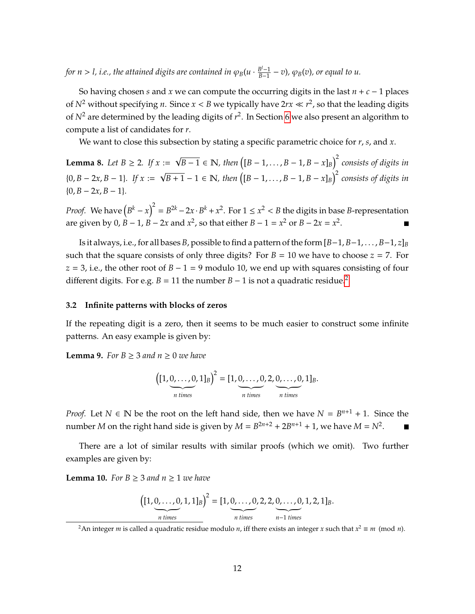*for n > l, i.e., the attained digits are contained in*  $\varphi_B(u\cdot \frac{B^l-1}{B-1})$ *B*−1 − *v*)*,* ϕ*B*(*v*)*, or equal to u.*

So having chosen *s* and *x* we can compute the occurring digits in the last  $n + c - 1$  places of  $N^2$  without specifying *n*. Since  $x < B$  we typically have  $2rx \ll r^2$ , so that the leading digits of  $N^2$  are determined by the leading digits of  $r^2$ . In Section [6](#page-35-0) we also present an algorithm to compute a list of candidates for *r*.

We want to close this subsection by stating a specific parametric choice for *r*, *s*, and *x*.

<span id="page-11-4"></span>**Lemma 8.** *Let*  $B \ge 2$ *. If*  $x :=$ √ *B* − 1 ∈ N, then  $([B - 1, \ldots, B - 1, B - x]_B)^2$  consists of digits in  ${0, B - 2x, B - 1}.$  If  $x :=$ √ *B* + 1 − 1 ∈ N, then  $([B - 1, \ldots, B - 1, B - x]_B)^2$  consists of digits in  ${0, B - 2x, B - 1}.$ 

*Proof.* We have  $(B^k - x)^2 = B^{2k} - 2x \cdot B^k + x^2$ . For  $1 \le x^2 < B$  the digits in base *B*-representation are given by 0, *B* − 1, *B* − 2*x* and  $x^2$ , so that either *B* − 1 =  $x^2$  or *B* − 2*x* =  $x^2$ .

Is it always, i.e., for all bases *B*, possible to find a pattern of the form [*B*−1, *B*−1, . . . , *B*−1, *z*]*<sup>B</sup>* such that the square consists of only three digits? For  $B = 10$  we have to choose  $z = 7$ . For *z* = 3, i.e., the other root of *B* − 1 = 9 modulo 10, we end up with squares consisting of four different digits. For e.g. *B* = 11 the number *B* − 1 is not a quadratic residue.<sup>[2](#page-11-1)</sup>

#### <span id="page-11-0"></span>**3.2 Infinite patterns with blocks of zeros**

If the repeating digit is a zero, then it seems to be much easier to construct some infinite patterns. An easy example is given by:

<span id="page-11-2"></span>**Lemma 9.** *For B* ≥ 3 *and n* ≥ 0 *we have* 

$$
\left([1, \underbrace{0, \ldots, 0}_{n \text{ times}}, 1]_B\right)^2 = [1, \underbrace{0, \ldots, 0}_{n \text{ times}}, 2, \underbrace{0, \ldots, 0}_{n \text{ times}}, 1]_B.
$$

*Proof.* Let  $N \in \mathbb{N}$  be the root on the left hand side, then we have  $N = B^{n+1} + 1$ . Since the number *M* on the right hand side is given by  $M = B^{2n+2} + 2B^{n+1} + 1$ , we have  $M = N^2$ .

There are a lot of similar results with similar proofs (which we omit). Two further examples are given by:

<span id="page-11-3"></span>**Lemma 10.** For  $B \geq 3$  and  $n \geq 1$  we have

$$
\left( [1, \underbrace{0, \ldots, 0}_{n \text{ times}}, 1, 1]_B \right)^2 = [1, \underbrace{0, \ldots, 0}_{n \text{ times}}, 2, 2, \underbrace{0, \ldots, 0}_{n-1 \text{ times}}, 1, 2, 1]_B.
$$

<span id="page-11-1"></span> $^2$ An integer *m* is called a quadratic residue modulo *n*, iff there exists an integer *x* such that  $x^2 \equiv m \pmod{n}$ .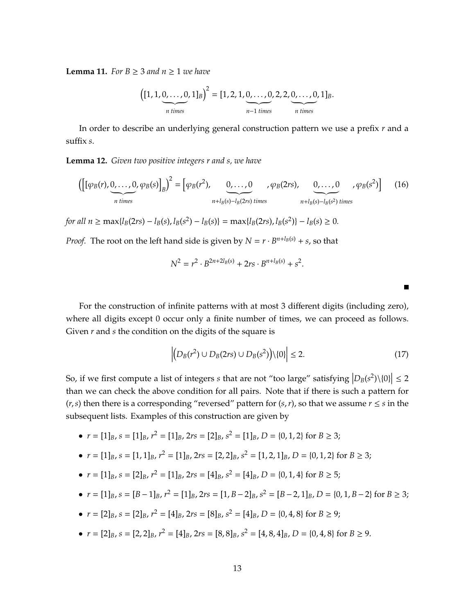<span id="page-12-1"></span>**Lemma 11.** For  $B \ge 3$  and  $n \ge 1$  we have

$$
\left([1, 1, \underbrace{0, \ldots, 0}_{n \text{ times}}, 1]_B\right)^2 = [1, 2, 1, \underbrace{0, \ldots, 0}_{n-1 \text{ times}}, 2, 2, \underbrace{0, \ldots, 0}_{n \text{ times}}, 1]_B.
$$

In order to describe an underlying general construction pattern we use a prefix *r* and a suffix *s*.

<span id="page-12-0"></span>**Lemma 12.** *Given two positive integers r and s, we have*

$$
\left(\left[\left[\varphi_B(r),\underbrace{0,\ldots,0}_{n \text{ times}},\varphi_B(s)\right]_B\right)^2 = \left[\varphi_B(r^2),\underbrace{0,\ldots,0}_{n+l_B(s)-l_B(2rs)} ,\varphi_B(2rs),\underbrace{0,\ldots,0}_{n+l_B(s)-l_B(s^2)} ,\varphi_B(s^2)\right] \tag{16}
$$

for all  $n \ge \max\{l_B(2rs) - l_B(s), l_B(s^2) - l_B(s)\} = \max\{l_B(2rs), l_B(s^2)\} - l_B(s) \ge 0.$ 

*Proof.* The root on the left hand side is given by  $N = r \cdot B^{n+l_B(s)} + s$ , so that

$$
N^2 = r^2 \cdot B^{2n+2l_B(s)} + 2rs \cdot B^{n+l_B(s)} + s^2.
$$

For the construction of infinite patterns with at most 3 different digits (including zero), where all digits except 0 occur only a finite number of times, we can proceed as follows. Given *r* and *s* the condition on the digits of the square is

$$
\left| \left( D_B(r^2) \cup D_B(2rs) \cup D_B(s^2) \right) \setminus \{0\} \right| \le 2. \tag{17}
$$

П

So, if we first compute a list of integers *s* that are not "too large" satisfying  $\left|D_B(s^2)\setminus\{0\}\right| \leq 2$ than we can check the above condition for all pairs. Note that if there is such a pattern for  $(r, s)$  then there is a corresponding "reversed" pattern for  $(s, r)$ , so that we assume  $r \leq s$  in the subsequent lists. Examples of this construction are given by

- $r = [1]_B$ ,  $s = [1]_B$ ,  $r^2 = [1]_B$ ,  $2rs = [2]_B$ ,  $s^2 = [1]_B$ ,  $D = \{0, 1, 2\}$  for  $B \ge 3$ ;
- $r = [1]_B$ ,  $s = [1, 1]_B$ ,  $r^2 = [1]_B$ ,  $2rs = [2, 2]_B$ ,  $s^2 = [1, 2, 1]_B$ ,  $D = \{0, 1, 2\}$  for  $B \ge 3$ ;
- $r = [1]_B$ ,  $s = [2]_B$ ,  $r^2 = [1]_B$ ,  $2rs = [4]_B$ ,  $s^2 = [4]_B$ ,  $D = \{0, 1, 4\}$  for  $B \ge 5$ ;
- $\bullet$  *r* = [1]<sub>*B*</sub>, *s* = [*B* − 1]<sub>*B*</sub>, *r*<sup>2</sup> = [1]<sub>*B*</sub>, 2*rs* = [1, *B* − 2]<sub>*B*</sub>, *s*<sup>2</sup> = [*B* − 2, 1]<sub>*B*</sub>, *D* = {0, 1, *B* − 2} for *B* ≥ 3;
- $r = [2]_B$ ,  $s = [2]_B$ ,  $r^2 = [4]_B$ ,  $2rs = [8]_B$ ,  $s^2 = [4]_B$ ,  $D = \{0, 4, 8\}$  for  $B \ge 9$ ;
- $r = [2]_B$ ,  $s = [2, 2]_B$ ,  $r^2 = [4]_B$ ,  $2rs = [8, 8]_B$ ,  $s^2 = [4, 8, 4]_B$ ,  $D = \{0, 4, 8\}$  for  $B \ge 9$ .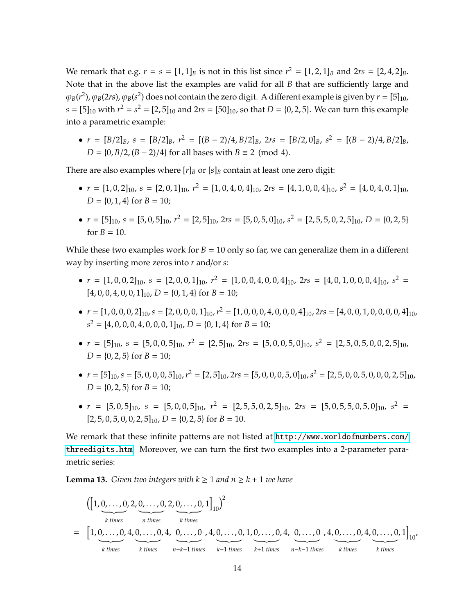We remark that e.g.  $r = s = [1, 1]_B$  is not in this list since  $r^2 = [1, 2, 1]_B$  and  $2rs = [2, 4, 2]_B$ . Note that in the above list the examples are valid for all *B* that are sufficiently large and  $\varphi_B(r^2)$ ,  $\varphi_B(2rs)$ ,  $\varphi_B(s^2)$  does not contain the zero digit. A different example is given by  $r=[5]_{10}$ ,  $s = [5]_{10}$  with  $r^2 = s^2 = [2, 5]_{10}$  and  $2rs = [50]_{10}$ , so that  $D = \{0, 2, 5\}$ . We can turn this example into a parametric example:

 $\bullet$  *r* = [*B*/2]*B*, *s* = [*B*/2]*B*, *r*<sup>2</sup> = [(*B* − 2)/4, *B*/2]*B*, 2*rs* = [*B*/2, 0]*B*, *s*<sup>2</sup> = [(*B* − 2)/4, *B*/2]*B*, *D* = {0, *B*/2,  $(B - 2)/4$ } for all bases with  $B \equiv 2 \pmod{4}$ .

There are also examples where  $[r]_B$  or  $[s]_B$  contain at least one zero digit:

- $r = [1, 0, 2]_{10}$ ,  $s = [2, 0, 1]_{10}$ ,  $r^2 = [1, 0, 4, 0, 4]_{10}$ ,  $2rs = [4, 1, 0, 0, 4]_{10}$ ,  $s^2 = [4, 0, 4, 0, 1]_{10}$ ,  $D = \{0, 1, 4\}$  for  $B = 10$ ;
- $r = [5]_{10}$ ,  $s = [5, 0, 5]_{10}$ ,  $r^2 = [2, 5]_{10}$ ,  $2rs = [5, 0, 5, 0]_{10}$ ,  $s^2 = [2, 5, 5, 0, 2, 5]_{10}$ ,  $D = \{0, 2, 5\}$ for  $B = 10$ .

While these two examples work for  $B = 10$  only so far, we can generalize them in a different way by inserting more zeros into *r* and/or *s*:

- $r = [1, 0, 0, 2]_{10}$ ,  $s = [2, 0, 0, 1]_{10}$ ,  $r^2 = [1, 0, 0, 4, 0, 0, 4]_{10}$ ,  $2rs = [4, 0, 1, 0, 0, 0, 4]_{10}$ ,  $s^2 =$  $[4, 0, 0, 4, 0, 0, 1]_{10}$ ,  $D = \{0, 1, 4\}$  for  $B = 10$ ;
- $\bullet$   $r = [1, 0, 0, 0, 2]_{10}$ ,  $s = [2, 0, 0, 0, 1]_{10}$ ,  $r^2 = [1, 0, 0, 0, 4, 0, 0, 0, 4]_{10}$ ,  $2rs = [4, 0, 0, 1, 0, 0, 0, 0, 4]_{10}$ ,  $s^2 = [4, 0, 0, 0, 4, 0, 0, 0, 1]_{10}$ ,  $D = \{0, 1, 4\}$  for  $B = 10$ ;
- $r = [5]_{10}$ ,  $s = [5, 0, 0, 5]_{10}$ ,  $r^2 = [2, 5]_{10}$ ,  $2rs = [5, 0, 0, 5, 0]_{10}$ ,  $s^2 = [2, 5, 0, 5, 0, 0, 2, 5]_{10}$ ,  $D = \{0, 2, 5\}$  for  $B = 10$ ;
- $\bullet$   $r = [5]_{10}$ ,  $s = [5, 0, 0, 0, 5]_{10}$ ,  $r^2 = [2, 5]_{10}$ ,  $2rs = [5, 0, 0, 0, 5, 0]_{10}$ ,  $s^2 = [2, 5, 0, 0, 5, 0, 0, 0, 2, 5]_{10}$ ,  $D = \{0, 2, 5\}$  for  $B = 10$ ;
- $r = [5, 0, 5]_{10}$ ,  $s = [5, 0, 0, 5]_{10}$ ,  $r^2 = [2, 5, 5, 0, 2, 5]_{10}$ ,  $2rs = [5, 0, 5, 5, 0, 5, 0]_{10}$ ,  $s^2 =$  $[2, 5, 0, 5, 0, 0, 2, 5]_{10}$ ,  $D = \{0, 2, 5\}$  for  $B = 10$ .

We remark that these infinite patterns are not listed at [http://www.worldofnumbers.com/](http://www.worldofnumbers.com/threedigits.htm) [threedigits.htm](http://www.worldofnumbers.com/threedigits.htm). Moreover, we can turn the first two examples into a 2-parameter parametric series:

<span id="page-13-0"></span>**Lemma 13.** *Given two integers with*  $k \geq 1$  *and*  $n \geq k + 1$  *we have* 

$$
\begin{array}{ll}\n & \left( \left[ 1, \underbrace{0, \ldots, 0}_{k \text{ times}}, 2, \underbrace{0, \ldots, 0}_{n \text{ times}}, 2, \underbrace{0, \ldots, 0}_{k \text{ times}}, 1 \right]_{10} \right)^2 \\
 & = \left[ 1, \underbrace{0, \ldots, 0}_{k \text{ times}}, 4, \underbrace{0, \ldots, 0}_{n-k-1 \text{ times}}, 4, \underbrace{0, \ldots, 0}_{k-1 \text{ times}}, 1, \underbrace{0, \ldots, 0}_{k+1 \text{ times}}, 4, \underbrace{0, \ldots, 0}_{n-k-1 \text{ times}}, 4, \underbrace{0, \ldots, 0}_{k \text{ times}}, 4, \underbrace{0, \ldots, 0}_{k \text{ times}}, 1 \right]_{10},\n\end{array}
$$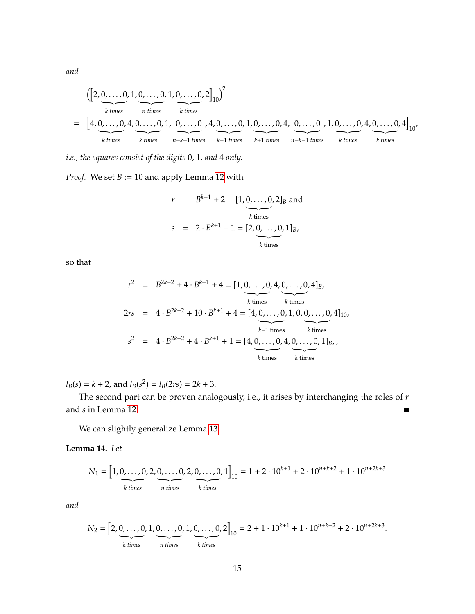*and*

$$
\begin{array}{ll}\n & \left( \left[ 2, 0, \ldots, 0, 1, 0, \ldots, 0, 1, 0, \ldots, 0, 2 \right]_{10} \right)^2 \\
 & \text{ k times } \\
 & \text{ k times } \\
 & \text{ k times } \\
 & \text{ k times } \\
 & \text{ k times } \\
 & \text{ k times } \\
 & \text{ k times } \\
 & \text{ k times } \\
 & \text{ k times } \\
 & \text{ k times } \\
 & \text{ k times } \\
 & \text{ k times } \\
 & \text{ k times } \\
 & \text{ k times } \\
 & \text{ k times } \\
 & \text{ k times } \\
 & \text{ k times } \\
 & \text{ k times } \\
 & \text{ k times } \\
 & \text{ k times } \\
 & \text{ k times } \\
 & \text{ k times } \\
 & \text{ k times } \\
 & \text{ k times } \\
 & \text{ k times } \\
 & \text{ k times } \\
 & \text{ k times } \\
 & \text{ k times } \\
 & \text{ k times } \\
 & \text{ k times } \\
 & \text{ k times } \\
 & \text{ k times } \\
 & \text{ k times } \\
 & \text{ k times } \\
 & \text{ k times } \\
 & \text{ k times } \\
 & \text{ k times } \\
 & \text{ k times } \\
 & \text{ k times } \\
 & \text{ k times } \\
 & \text{ k times } \\
 & \text{ k times } \\
 & \text{ k times } \\
 & \text{ k times } \\
 & \text{ k times } \\
 & \text{ k times } \\
 & \text{ k times } \\
 & \text{ k times } \\
 & \text{ k times } \\
 & \text{ k times } \\
 & \text{ k times } \\
 & \text{ k times } \\
 & \text{ k times } \\
 & \text{ k times } \\
 & \text{ k times } \\
 & \text{ k times } \\
 & \text{ k times } \\
 & \text{ k times } \\
 & \text{ k times } \\
 & \text{ k times } \\
 & \text{ k times } \\
 & \text{ k times } \\
 & \text{ k times } \\
 & \text{ k times } \\
 & \text{ k times } \\
 & \text{ k times } \\
 & \text{ k times } \\
 & \text{ k times } \\
 & \text{ k times } \\
$$

*i.e., the squares consist of the digits* 0*,* 1*, and* 4 *only.*

*Proof.* We set  $B := 10$  and apply Lemma [12](#page-12-0) with

$$
r = B^{k+1} + 2 = [1, 0, ..., 0, 2]_B \text{ and}
$$
  
\n
$$
s = 2 \cdot B^{k+1} + 1 = [2, 0, ..., 0, 1]_B,
$$
  
\n
$$
k \text{ times}
$$

so that

$$
r^{2} = B^{2k+2} + 4 \cdot B^{k+1} + 4 = [1, 0, ..., 0, 4, 0, ..., 0, 4]_{B},
$$
  
\n
$$
2rs = 4 \cdot B^{2k+2} + 10 \cdot B^{k+1} + 4 = [4, 0, ..., 0, 1, 0, 0, ..., 0, 4]_{10},
$$
  
\n
$$
s^{2} = 4 \cdot B^{2k+2} + 4 \cdot B^{k+1} + 1 = [4, 0, ..., 0, 4, 0, ..., 0, 1]_{B},
$$
  
\n
$$
k \text{ times}
$$
  
\n
$$
k \text{ times}
$$
  
\n
$$
k \text{ times}
$$
  
\n
$$
k \text{ times}
$$
  
\n
$$
k \text{ times}
$$

 $l_B(s) = k + 2$ , and  $l_B(s^2) = l_B(2rs) = 2k + 3$ .

The second part can be proven analogously, i.e., it arises by interchanging the roles of *r* and *s* in Lemma [12.](#page-12-0)  $\blacksquare$ 

We can slightly generalize Lemma [13:](#page-13-0)

## <span id="page-14-0"></span>**Lemma 14.** *Let*

$$
N_1 = \left[1, \underbrace{0, \ldots, 0}_{k \text{ times}}, 2, \underbrace{0, \ldots, 0}_{n \text{ times}}, 2, \underbrace{0, \ldots, 0}_{k \text{ times}}, 1\right]_{10} = 1 + 2 \cdot 10^{k+1} + 2 \cdot 10^{n+k+2} + 1 \cdot 10^{n+2k+3}
$$

*and*

$$
N_2 = \left[2, \underbrace{0, \ldots, 0}_{k \text{ times}}, 1, \underbrace{0, \ldots, 0}_{n \text{ times}}, 1, \underbrace{0, \ldots, 0}_{k \text{ times}}, 2\right]_{10} = 2 + 1 \cdot 10^{k+1} + 1 \cdot 10^{n+k+2} + 2 \cdot 10^{n+2k+3}.
$$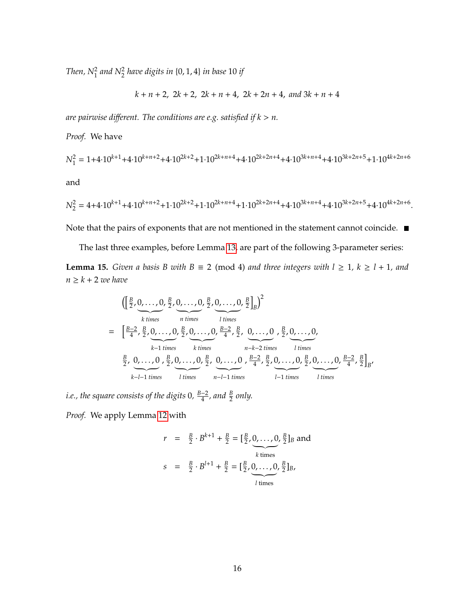Then,  $N_1^2$  and  $N_2^2$  have digits in  $\{0, 1, 4\}$  in base 10 if

$$
k + n + 2
$$
,  $2k + 2$ ,  $2k + n + 4$ ,  $2k + 2n + 4$ , and  $3k + n + 4$ 

are pairwise different. The conditions are e.g. satisfied if  $k > n$ .

*Proof.* We have

$$
N_1^2 = 1 + 4 \cdot 10^{k+1} + 4 \cdot 10^{k+n+2} + 4 \cdot 10^{2k+2} + 1 \cdot 10^{2k+n+4} + 4 \cdot 10^{2k+2n+4} + 4 \cdot 10^{3k+n+4} + 4 \cdot 10^{3k+2n+5} + 1 \cdot 10^{4k+2n+6}
$$
 and

$$
N_2^2 = 4 + 4 \cdot 10^{k+1} + 4 \cdot 10^{k+n+2} + 1 \cdot 10^{2k+2} + 1 \cdot 10^{2k+n+4} + 1 \cdot 10^{2k+2n+4} + 4 \cdot 10^{3k+n+4} + 4 \cdot 10^{3k+2n+5} + 4 \cdot 10^{4k+2n+6}.
$$

Note that the pairs of exponents that are not mentioned in the statement cannot coincide.  $\blacksquare$ 

<span id="page-15-0"></span>The last three examples, before Lemma [13,](#page-13-0) are part of the following 3-parameter series: **Lemma 15.** *Given a basis B with B*  $\equiv$  2 (mod 4) *and three integers with*  $l \ge 1$ ,  $k \ge l + 1$ , *and*  $n \geq k + 2$  *we have* 

$$
\begin{split}\n&\left( \left[ \frac{B}{2}, 0, \ldots, 0, \frac{B}{2}, 0, \ldots, 0, \frac{B}{2}, 0, \ldots, 0, \frac{B}{2} \right]_{B} \right)^{2} \\
&= \left[ \frac{B-2}{4}, \frac{B}{2}, 0, \ldots, 0, \frac{B}{2}, 0, \ldots, 0, \frac{B-2}{4}, \frac{B}{2}, 0, \ldots, 0, \frac{B}{2}, 0, \ldots, 0, \ldots, 0, \frac{B}{2}, 0, \ldots, 0, \frac{B}{4}, 0, \ldots, 0, \frac{B}{4}, 0, \ldots, 0, \frac{B}{4}, 0, \ldots, 0, \frac{B-2}{4}, \frac{B}{2}, 0, \ldots, 0, \frac{B-2}{4}, \frac{B}{2} \right]_{B}, \\
&\frac{B}{2}, 0, \ldots, 0, \frac{B}{2}, 0, \ldots, 0, \frac{B}{2}, 0, \ldots, 0, \frac{B-2}{4}, \frac{B}{2}, 0, \ldots, 0, \frac{B-2}{4}, \frac{B}{2} \right]_{B},\n\end{split}
$$

*i.e., the square consists of the digits* 0*, B*−2  $\frac{-2}{4}$ , and  $\frac{B}{2}$  only.

*Proof.* We apply Lemma [12](#page-12-0) with

$$
r = \frac{B}{2} \cdot B^{k+1} + \frac{B}{2} = \left[\frac{B}{2}, 0, \dots, 0, \frac{B}{2}\right]_B \text{ and}
$$
  
\n
$$
s = \frac{B}{2} \cdot B^{l+1} + \frac{B}{2} = \left[\frac{B}{2}, 0, \dots, 0, \frac{B}{2}\right]_B,
$$
  
\n
$$
l \text{ times}
$$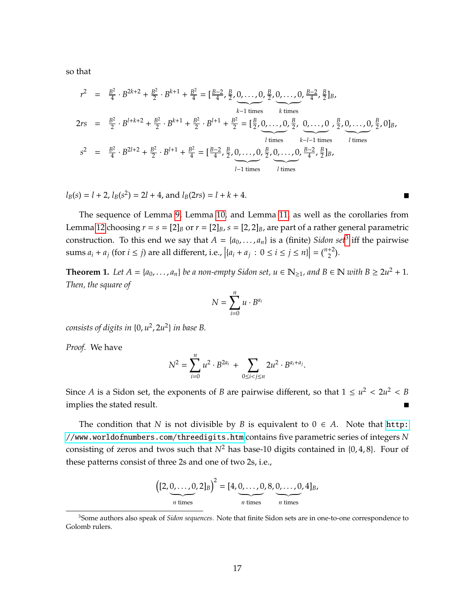so that

$$
r^{2} = \frac{B^{2}}{4} \cdot B^{2k+2} + \frac{B^{2}}{2} \cdot B^{k+1} + \frac{B^{2}}{4} = \left[\frac{B-2}{4}, \frac{B}{2}, 0, \dots, 0, \frac{B}{2}, 0, \dots, 0, \frac{B-2}{4}, \frac{B}{2}\right]_{B},
$$
  
\n
$$
2rs = \frac{B^{2}}{2} \cdot B^{l+k+2} + \frac{B^{2}}{2} \cdot B^{k+1} + \frac{B^{2}}{2} \cdot B^{l+1} + \frac{B^{2}}{2} = \left[\frac{B}{2}, 0, \dots, 0, \frac{B}{2}, 0, \dots, 0, \frac{B}{2}, 0, \dots, 0, \frac{B}{2}, 0\right]_{B},
$$
  
\n
$$
s^{2} = \frac{B^{2}}{4} \cdot B^{2l+2} + \frac{B^{2}}{2} \cdot B^{l+1} + \frac{B^{2}}{4} = \left[\frac{B-2}{4}, \frac{B}{2}, 0, \dots, 0, \frac{B}{2}, 0, \dots, 0, \frac{B-2}{4}, \frac{B}{2}\right]_{B},
$$
  
\n
$$
l \text{ times}
$$
  
\n
$$
l \text{ times}
$$
  
\n
$$
l \text{ times}
$$
  
\n
$$
l \text{ times}
$$
  
\n
$$
l \text{ times}
$$
  
\n
$$
l \text{ times}
$$

 $l_B(s) = l + 2$ ,  $l_B(s^2) = 2l + 4$ , and  $l_B(2rs) = l + k + 4$ .

The sequence of Lemma [9,](#page-11-2) Lemma [10,](#page-11-3) and Lemma [11,](#page-12-1) as well as the corollaries from Lemma [12](#page-12-0) choosing  $r = s = [2]_B$  or  $r = [2]_B$ ,  $s = [2, 2]_B$ , are part of a rather general parametric construction. To this end we say that  $A = \{a_0, \ldots, a_n\}$  is a (finite) *Sidon set*<sup>[3](#page-16-0)</sup> iff the pairwise sums  $a_i + a_j$  (for  $i \le j$ ) are all different, i.e.,  $|{a_i + a_j : 0 \le i \le j \le n}| = \binom{n+2}{2}$ .

<span id="page-16-1"></span>**Theorem 1.** Let  $A = \{a_0, \ldots, a_n\}$  be a non-empty Sidon set,  $u \in \mathbb{N}_{\geq 1}$ , and  $B \in \mathbb{N}$  with  $B \geq 2u^2 + 1$ . *Then, the square of*

$$
N=\sum_{i=0}^n u\cdot B^{a_i}
$$

*consists of digits in* {0, *u* 2 , 2*u* 2 } *in base B.*

*Proof.* We have

$$
N^{2} = \sum_{i=0}^{n} u^{2} \cdot B^{2a_{i}} + \sum_{0 \leq i < j \leq n} 2u^{2} \cdot B^{a_{i}+a_{j}}.
$$

Since *A* is a Sidon set, the exponents of *B* are pairwise different, so that  $1 \le u^2 < 2u^2 < B$ implies the stated result.

The condition that *N* is not divisible by *B* is equivalent to  $0 \in A$ . Note that [http:](http://www.worldofnumbers.com/threedigits.htm) [//www.worldofnumbers.com/threedigits.htm](http://www.worldofnumbers.com/threedigits.htm) contains five parametric series of integers *N* consisting of zeros and twos such that  $N^2$  has base-10 digits contained in  $\{0, 4, 8\}$ . Four of these patterns consist of three 2s and one of two 2s, i.e.,



<span id="page-16-0"></span><sup>3</sup>Some authors also speak of *Sidon sequences*. Note that finite Sidon sets are in one-to-one correspondence to Golomb rulers.

 $\blacksquare$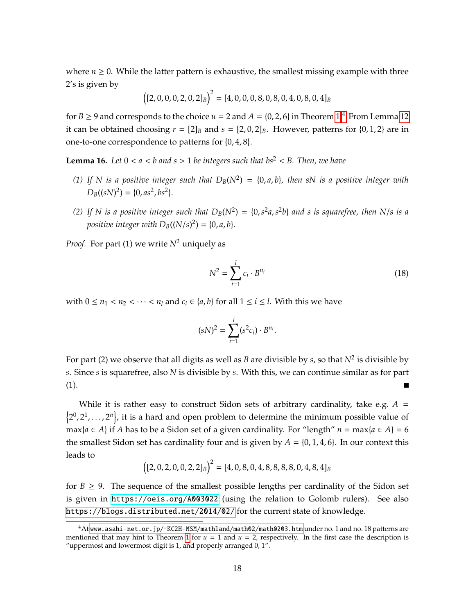where  $n \geq 0$ . While the latter pattern is exhaustive, the smallest missing example with three 2's is given by

$$
((2,0,0,0,2,0,2]_B)^2 = [4,0,0,0,8,0,8,0,4,0,8,0,4]_B
$$

for  $B \ge 9$  and corresponds to the choice  $u = 2$  and  $A = \{0, 2, 6\}$  in Theorem [1.](#page-16-1)<sup>[4](#page-17-0)</sup> From Lemma [12](#page-12-0) it can be obtained choosing  $r = [2]_B$  and  $s = [2, 0, 2]_B$ . However, patterns for  $\{0, 1, 2\}$  are in one-to-one correspondence to patterns for {0, 4, 8}.

<span id="page-17-1"></span>**Lemma 16.** Let  $0 < a < b$  and  $s > 1$  be integers such that  $bs^2 < B$ . Then, we have

- *(1)* If N is a positive integer such that  $D_B(N^2) = \{0, a, b\}$ , then sN is a positive integer with  $D_B((sN)^2) = \{0, as^2, bs^2\}.$
- (2) If N is a positive integer such that  $D_B(N^2) = \{0, s^2a, s^2b\}$  and s is squarefree, then N/s is a *positive integer with*  $D_B((N/s)^2) = \{0, a, b\}.$

*Proof.* For part (1) we write  $N^2$  uniquely as

$$
N^2 = \sum_{i=1}^{l} c_i \cdot B^{n_i}
$$
 (18)

with  $0 \le n_1 < n_2 < \cdots < n_l$  and  $c_i \in \{a, b\}$  for all  $1 \le i \le l$ . With this we have

$$
(sN)^{2} = \sum_{i=1}^{l} (s^{2}c_{i}) \cdot B^{n_{i}}.
$$

For part (2) we observe that all digits as well as *B* are divisible by *s*, so that  $N^2$  is divisible by *s*. Since *s* is squarefree, also *N* is divisible by *s*. With this, we can continue similar as for part (1).

While it is rather easy to construct Sidon sets of arbitrary cardinality, take e.g.  $A =$  $\{2^0, 2^1, \ldots, 2^n\}$ , it is a hard and open problem to determine the minimum possible value of max{ $a \in A$ } if *A* has to be a Sidon set of a given cardinality. For "length"  $n = max\{a \in A\} = 6$ the smallest Sidon set has cardinality four and is given by  $A = \{0, 1, 4, 6\}$ . In our context this leads to

$$
((2, 0, 2, 0, 0, 2, 2]_B)^2 = [4, 0, 8, 0, 4, 8, 8, 8, 8, 0, 4, 8, 4]_B
$$

for  $B \ge 9$ . The sequence of the smallest possible lengths per cardinality of the Sidon set is given in <https://oeis.org/A003022> (using the relation to Golomb rulers). See also <https://blogs.distributed.net/2014/02/> for the current state of knowledge.

<span id="page-17-0"></span><sup>4</sup>At [www.asahi-net.or.jp/˜KC2H-MSM/mathland/math02/math0203.htm](www.asahi-net.or.jp/~KC2H-MSM/mathland/math02/math0203.htm) under no. 1 and no. 18 patterns are mentioned that may hint to Theorem [1](#page-16-1) for  $u = 1$  and  $u = 2$ , respectively. In the first case the description is "uppermost and lowermost digit is 1, and properly arranged 0, 1".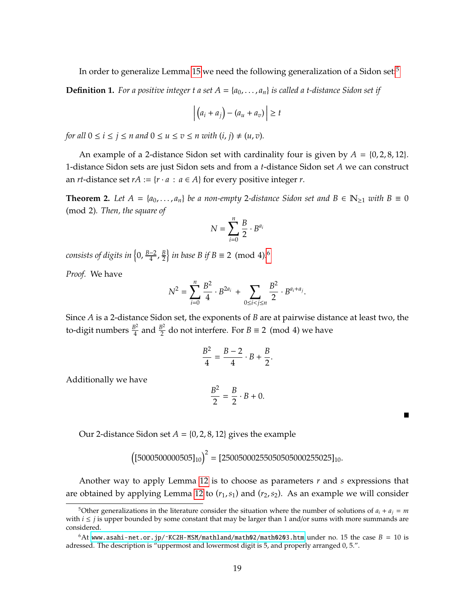In order to generalize Lemma [15](#page-15-0) we need the following generalization of a Sidon set:<sup>[5](#page-18-0)</sup>

**Definition 1.** For a positive integer t a set  $A = \{a_0, \ldots, a_n\}$  is called a t-distance Sidon set if

$$
\left| \left( a_i + a_j \right) - \left( a_u + a_v \right) \right| \geq t
$$

*for all*  $0 \le i \le j \le n$  *and*  $0 \le u \le v \le n$  *with*  $(i, j) \ne (u, v)$ *.* 

An example of a 2-distance Sidon set with cardinality four is given by  $A = \{0, 2, 8, 12\}$ . 1-distance Sidon sets are just Sidon sets and from a *t*-distance Sidon set *A* we can construct an *rt*-distance set  $rA := \{r \cdot a : a \in A\}$  for every positive integer *r*.

<span id="page-18-2"></span>**Theorem 2.** Let  $A = \{a_0, \ldots, a_n\}$  be a non-empty 2-distance Sidon set and  $B \in \mathbb{N}_{\geq 1}$  with  $B \equiv 0$ (mod 2)*. Then, the square of*

$$
N = \sum_{i=0}^{n} \frac{B}{2} \cdot B^{a_i}
$$

*consists of digits in {*0, <u><sup>B−2</sup></u>  $\frac{-2}{4}$ ,  $\frac{B}{2}$  $\left(\frac{B}{2}\right)$  *in base B if B*  $\equiv$  2 (mod 4).<sup>[6](#page-18-1)</sup>

*Proof.* We have

$$
N^{2} = \sum_{i=0}^{n} \frac{B^{2}}{4} \cdot B^{2a_{i}} + \sum_{0 \leq i < j \leq n} \frac{B^{2}}{2} \cdot B^{a_{i}+a_{j}}.
$$

Since *A* is a 2-distance Sidon set, the exponents of *B* are at pairwise distance at least two, the to-digit numbers *<sup>B</sup>* 2  $rac{B^2}{4}$  and  $rac{B^2}{2}$  $\frac{3^2}{2}$  do not interfere. For *B*  $\equiv$  2 (mod 4) we have

$$
\frac{B^2}{4}=\frac{B-2}{4}\cdot B+\frac{B}{2}.
$$

Additionally we have

$$
\frac{B^2}{2} = \frac{B}{2} \cdot B + 0.
$$

Our 2-distance Sidon set  $A = \{0, 2, 8, 12\}$  gives the example

$$
((5000500000505)_{10})^2 = [25005000255050505000255025]_{10}.
$$

Another way to apply Lemma [12](#page-12-0) is to choose as parameters *r* and *s* expressions that are obtained by applying Lemma [12](#page-12-0) to ( $r_1$ ,  $s_1$ ) and ( $r_2$ ,  $s_2$ ). As an example we will consider

<span id="page-18-0"></span><sup>&</sup>lt;sup>5</sup>Other generalizations in the literature consider the situation where the number of solutions of  $a_i + a_j = m$ with  $i \leq j$  is upper bounded by some constant that may be larger than 1 and/or sums with more summands are considered.

<span id="page-18-1"></span> $6$ At www.asahi-net.or.jp/ $KC2H-MSM/mathland/math02/math0203$ .htm under no. 15 the case  $B = 10$  is adressed. The description is "uppermost and lowermost digit is 5, and properly arranged 0, 5.".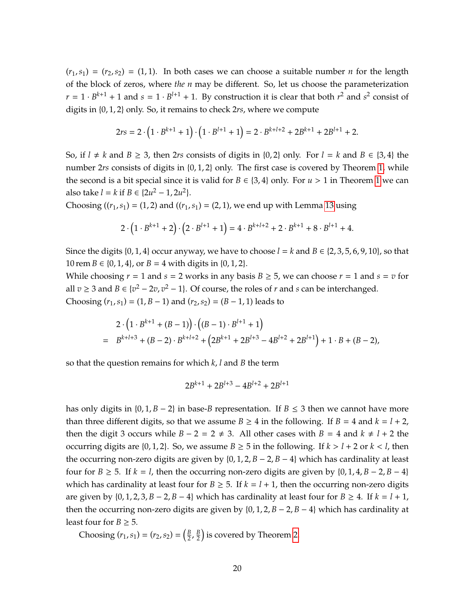$(r_1, s_1) = (r_2, s_2) = (1, 1)$ . In both cases we can choose a suitable number *n* for the length of the block of zeros, where *the n* may be different. So, let us choose the parameterization  $r = 1 \cdot B^{k+1} + 1$  and  $s = 1 \cdot B^{l+1} + 1$ . By construction it is clear that both  $r^2$  and  $s^2$  consist of digits in {0, 1, 2} only. So, it remains to check 2*rs*, where we compute

$$
2rs = 2 \cdot \left(1 \cdot B^{k+1} + 1\right) \cdot \left(1 \cdot B^{l+1} + 1\right) = 2 \cdot B^{k+l+2} + 2B^{k+1} + 2B^{l+1} + 2.
$$

So, if  $l \neq k$  and  $B \geq 3$ , then 2*rs* consists of digits in {0, 2} only. For  $l = k$  and  $B \in \{3, 4\}$  the number 2*rs* consists of digits in {0, [1,](#page-16-1) 2} only. The first case is covered by Theorem 1, while the second is a bit special since it is valid for  $B \in \{3, 4\}$  only. For  $u > 1$  $u > 1$  in Theorem 1 we can also take  $l = k$  if  $B \in \{2u^2 - 1, 2u^2\}$ .

Choosing  $((r_1, s_1) = (1, 2)$  and  $((r_1, s_1) = (2, 1)$ , we end up with Lemma [13](#page-13-0) using

$$
2 \cdot (1 \cdot B^{k+1} + 2) \cdot (2 \cdot B^{l+1} + 1) = 4 \cdot B^{k+l+2} + 2 \cdot B^{k+1} + 8 \cdot B^{l+1} + 4.
$$

Since the digits  $\{0, 1, 4\}$  occur anyway, we have to choose  $l = k$  and  $B \in \{2, 3, 5, 6, 9, 10\}$ , so that  $10$  rem  $B \in \{0, 1, 4\}$ , or  $B = 4$  with digits in  $\{0, 1, 2\}$ .

While choosing  $r = 1$  and  $s = 2$  works in any basis  $B \ge 5$ , we can choose  $r = 1$  and  $s = v$  for all *v* ≥ 3 and *B* ∈ {*v*<sup>2</sup> − 2*v*, *v*<sup>2</sup> − 1}. Of course, the roles of *r* and *s* can be interchanged. Choosing  $(r_1, s_1) = (1, B - 1)$  and  $(r_2, s_2) = (B - 1, 1)$  leads to

$$
2 \cdot (1 \cdot B^{k+1} + (B-1)) \cdot ((B-1) \cdot B^{l+1} + 1)
$$
  
=  $B^{k+l+3} + (B-2) \cdot B^{k+l+2} + (2B^{k+1} + 2B^{l+3} - 4B^{l+2} + 2B^{l+1}) + 1 \cdot B + (B-2),$ 

so that the question remains for which *k*, *l* and *B* the term

$$
2B^{k+1} + 2B^{l+3} - 4B^{l+2} + 2B^{l+1}
$$

has only digits in {0, 1, *B* − 2} in base-*B* representation. If *B* ≤ 3 then we cannot have more than three different digits, so that we assume  $B \ge 4$  in the following. If  $B = 4$  and  $k = l + 2$ , then the digit 3 occurs while *B* − 2 = 2  $\neq$  3. All other cases with *B* = 4 and *k*  $\neq$  *l* + 2 the occurring digits are  $\{0, 1, 2\}$ . So, we assume  $B \ge 5$  in the following. If  $k > l + 2$  or  $k < l$ , then the occurring non-zero digits are given by  $\{0, 1, 2, B - 2, B - 4\}$  which has cardinality at least four for  $B \ge 5$ . If  $k = l$ , then the occurring non-zero digits are given by  $\{0, 1, 4, B - 2, B - 4\}$ which has cardinality at least four for  $B \ge 5$ . If  $k = l + 1$ , then the occurring non-zero digits are given by  $\{0, 1, 2, 3, B - 2, B - 4\}$  which has cardinality at least four for  $B \ge 4$ . If  $k = l + 1$ , then the occurring non-zero digits are given by  $\{0, 1, 2, B - 2, B - 4\}$  which has cardinality at least four for *B*  $\geq$  5.

Choosing  $(r_1, s_1) = (r_2, s_2) = \left(\frac{B}{2}\right)$  $\frac{B}{2}$ ,  $\frac{B}{2}$  $\frac{B}{2}$ ) is covered by Theorem [2.](#page-18-2)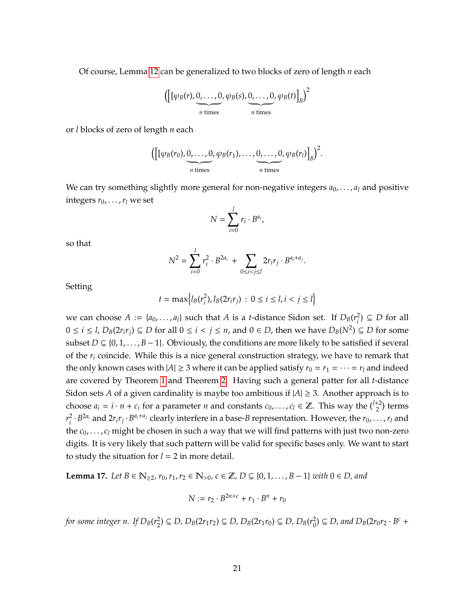Of course, Lemma [12](#page-12-0) can be generalized to two blocks of zero of length *n* each

$$
\left(\left[\left[\varphi_B(r),\underbrace{0,\ldots,0}_{n \text{ times}},\varphi_B(s),\underbrace{0,\ldots,0}_{n \text{ times}},\varphi_B(t)\right]_B\right)^2
$$

or *l* blocks of zero of length *n* each

$$
\left(\left[\left[\varphi_B(r_0),\underbrace{0,\ldots,0}_{n \text{ times}},\varphi_B(r_1),\ldots,\underbrace{0,\ldots,0}_{n \text{ times}},\varphi_B(r_l)\right]_B\right)^2.
$$

We can try something slightly more general for non-negative integers  $a_0$ , ...,  $a_l$  and positive integers  $r_0$ , ...,  $r_l$  we set

$$
N=\sum_{i=0}^l r_i\cdot B^{a_i},
$$

so that

$$
N^{2} = \sum_{i=0}^{l} r_{i}^{2} \cdot B^{2a_{i}} + \sum_{0 \leq i < j \leq l} 2r_{i}r_{j} \cdot B^{a_{i}+a_{j}}.
$$

Setting

$$
t = \max\Bigl\{l_B(r_i^2), l_B(2r_ir_j)\,:\, 0\leq i\leq l, i < j \leq l\Bigr\}
$$

we can choose  $A := \{a_0, \ldots, a_l\}$  such that  $A$  is a *t*-distance Sidon set. If  $D_B(r_i^2)$  $<sup>2</sup><sub>i</sub>$  ) ⊆ *D* for all</sup>  $0 \le i \le l$ ,  $D_B(2r_ir_j) \subseteq D$  for all  $0 \le i < j \le n$ , and  $0 \in D$ , then we have  $D_B(N^2) \subseteq D$  for some subset *D* ⊆ {0, 1, . . . , *B* − 1}. Obviously, the conditions are more likely to be satisfied if several of the *r<sup>i</sup>* coincide. While this is a nice general construction strategy, we have to remark that the only known cases with  $|A| \ge 3$  where it can be applied satisfy  $r_0 = r_1 = \cdots = r_l$  and indeed are covered by Theorem [1](#page-16-1) and Theorem [2.](#page-18-2) Having such a general patter for all *t*-distance Sidon sets *A* of a given cardinality is maybe too ambitious if  $|A| \geq 3$ . Another approach is to choose  $a_i = i \cdot n + c_i$  for a parameter *n* and constants  $c_0, \ldots, c_l \in \mathbb{Z}$ . This way the  $\binom{l+2}{2}$  terms *r* 2  $a_i^2 \cdot B^{2a_i}$  and  $2r_ir_j \cdot B^{a_i+a_j}$  clearly interfere in a base-B representation. However, the  $r_0, \ldots, r_l$  and the *c*0, . . . , *c<sup>l</sup>* might be chosen in such a way that we will find patterns with just two non-zero digits. It is very likely that such pattern will be valid for specific bases only. We want to start to study the situation for  $l = 2$  in more detail.

<span id="page-20-0"></span>**Lemma 17.** *Let B* ∈  $\mathbb{N}_{\geq 2}$ ,  $r_0, r_1, r_2 \in \mathbb{N}_{>0}$ ,  $c \in \mathbb{Z}$ , *D* ⊆ {0,1,..., *B* − 1} *with* 0 ∈ *D*, and

$$
N:=r_2\cdot B^{2n+c}+r_1\cdot B^n+r_0
$$

*for some integer n. If DB*(*r* 2 2<sup>2</sup>) ⊆ *D*,  $D_B(2r_1r_2)$  ⊆ *D*,  $D_B(2r_1r_0)$  ⊆ *D*,  $D_B(r_0^2)$  $D_0^2$ )  $\subseteq$  *D*, and  $D_B(2r_0r_2 \cdot B^c +$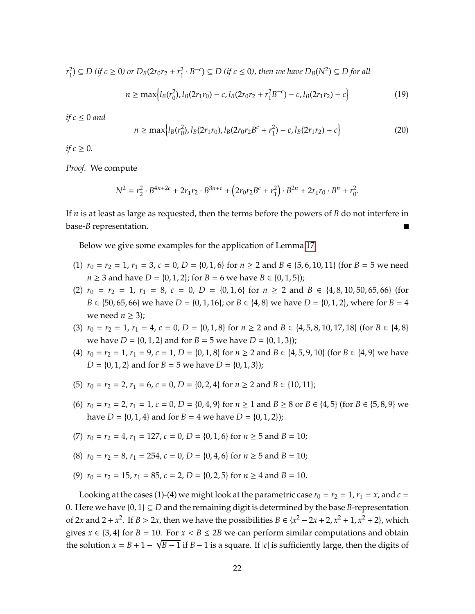*r* 2  $P_1^2$ ) ⊆ *D* (if *c* ≥ 0) or  $D_B(2r_0r_2 + r_1^2)$  $\frac{1}{2} \cdot B^{-c}$ )  $\subseteq D$  (if  $c \le 0$ ), then we have  $D_B(N^2) \subseteq D$  for all

$$
n \ge \max\left\{l_B(r_0^2), l_B(2r_1r_0) - c, l_B(2r_0r_2 + r_1^2B^{-c}) - c, l_B(2r_1r_2) - c\right\}
$$
(19)

*if*  $c \leq 0$  *and* 

$$
n \ge \max\left\{l_B(r_0^2), l_B(2r_1r_0), l_B(2r_0r_2B^c + r_1^2) - c, l_B(2r_1r_2) - c\right\}
$$
\n(20)

*if*  $c \geq 0$ *.* 

*Proof.* We compute

$$
N^2 = r_2^2 \cdot B^{4n+2c} + 2r_1r_2 \cdot B^{3n+c} + (2r_0r_2B^c + r_1^2) \cdot B^{2n} + 2r_1r_0 \cdot B^n + r_0^2.
$$

If *n* is at least as large as requested, then the terms before the powers of *B* do not interfere in base-*B* representation.

Below we give some examples for the application of Lemma [17:](#page-20-0)

- (1)  $r_0 = r_2 = 1$ ,  $r_1 = 3$ ,  $c = 0$ ,  $D = \{0, 1, 6\}$  for  $n \ge 2$  and  $B \in \{5, 6, 10, 11\}$  (for  $B = 5$  we need *n* ≥ 3 and have *D* = {0, 1, 2}; for *B* = 6 we have *B* ∈ {0, 1, 5});
- (2)  $r_0 = r_2 = 1$ ,  $r_1 = 8$ ,  $c = 0$ ,  $D = \{0, 1, 6\}$  for  $n \ge 2$  and  $B \in \{4, 8, 10, 50, 65, 66\}$  (for *B* ∈ {50, 65, 66} we have *D* = {0, 1, 16}; or *B* ∈ {4, 8} we have *D* = {0, 1, 2}, where for *B* = 4 we need  $n \geq 3$ );
- (3)  $r_0 = r_2 = 1$ ,  $r_1 = 4$ ,  $c = 0$ ,  $D = \{0, 1, 8\}$  for  $n \ge 2$  and  $B \in \{4, 5, 8, 10, 17, 18\}$  (for  $B \in \{4, 8\}$ we have *D* = {0, 1, 2} and for *B* = 5 we have *D* = {0, 1, 3});
- (4)  $r_0 = r_2 = 1$ ,  $r_1 = 9$ ,  $c = 1$ ,  $D = \{0, 1, 8\}$  for  $n \ge 2$  and  $B \in \{4, 5, 9, 10\}$  (for  $B \in \{4, 9\}$  we have  $D = \{0, 1, 2\}$  and for  $B = 5$  we have  $D = \{0, 1, 3\}$ ;
- (5)  $r_0 = r_2 = 2$ ,  $r_1 = 6$ ,  $c = 0$ ,  $D = \{0, 2, 4\}$  for  $n \ge 2$  and  $B \in \{10, 11\}$ ;
- (6)  $r_0 = r_2 = 2$ ,  $r_1 = 1$ ,  $c = 0$ ,  $D = \{0, 4, 9\}$  for  $n ≥ 1$  and  $B ≥ 8$  or  $B ∈ \{4, 5\}$  (for  $B ∈ \{5, 8, 9\}$  we have *D* = {0, 1, 4} and for *B* = 4 we have *D* = {0, 1, 2});
- (7)  $r_0 = r_2 = 4$ ,  $r_1 = 127$ ,  $c = 0$ ,  $D = \{0, 1, 6\}$  for  $n \ge 5$  and  $B = 10$ ;
- (8)  $r_0 = r_2 = 8$ ,  $r_1 = 254$ ,  $c = 0$ ,  $D = \{0, 4, 6\}$  for  $n \ge 5$  and  $B = 10$ ;
- (9)  $r_0 = r_2 = 15$ ,  $r_1 = 85$ ,  $c = 2$ ,  $D = \{0, 2, 5\}$  for  $n \ge 4$  and  $B = 10$ .

Looking at the cases (1)-(4) we might look at the parametric case  $r_0 = r_2 = 1$ ,  $r_1 = x$ , and  $c =$ 0. Here we have  $\{0,1\} \subseteq D$  and the remaining digit is determined by the base *B*-representation of 2*x* and 2 + *x*<sup>2</sup>. If *B* > 2*x*, then we have the possibilities *B* ∈ {*x*<sup>2</sup> − 2*x* + 2, *x*<sup>2</sup> + 1, *x*<sup>2</sup> + 2}, which gives  $x \in \{3, 4\}$  for  $B = 10$ . For  $x < B \le 2B$  we can perform similar computations and obtain the solution  $x = B + 1 - \sqrt{B - 1}$  if  $B - 1$  is a square. If  $|c|$  is sufficiently large, then the digits of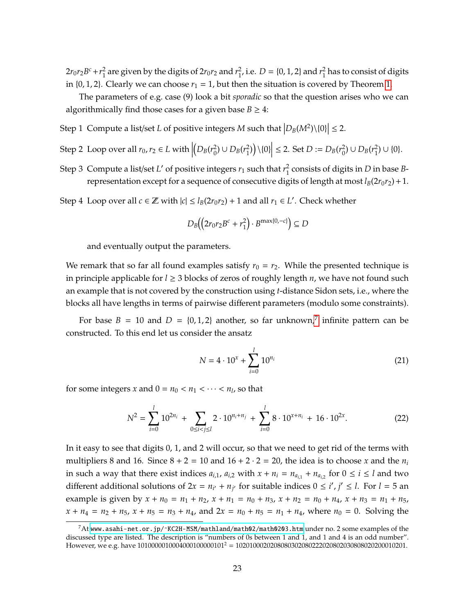$2r_0r_2B^c + r_1^2$  $\frac{2}{1}$  are given by the digits of 2 $r_0r_2$  and  $r_1^2$  $_1^2$ , i.e. *D* = {0, 1, 2} and  $r_1^2$  $\frac{2}{1}$  has to consist of digits in  $\{0, 1, 2\}$ . Clearly we can choose  $r_1 = 1$ , but then the situation is covered by Theorem [1.](#page-16-1)

The parameters of e.g. case (9) look a bit *sporadic* so that the question arises who we can algorithmically find those cases for a given base  $B \geq 4$ :

- Step 1 Compute a list/set *L* of positive integers *M* such that  $\left|D_B(M^2)\setminus\{0\}\right| \leq 2$ .
- Step 2 Loop over all  $r_0, r_2 \in L$  with  $(D_B(r_0^2)$ 2<sup>2</sup>)∪  $D_B(r_1^2)$  $\left| \sum_{1}^{2} \right) \setminus \{0\} \right| \leq 2.$  Set  $D := D_{B}(r_0^2)$ 2<sup>2</sup>)∪  $D_B(r_1^2)$  $_{1}^{2})\cup\{0\}.$
- Step 3 Compute a list/set *L'* of positive integers  $r_1$  such that  $r_1^2$ 1 consists of digits in *D* in base *B*representation except for a sequence of consecutive digits of length at most  $l_B(2r_0r_2)+1$ .

Step 4 Loop over all  $c \in \mathbb{Z}$  with  $|c| \leq l_B(2r_0r_2) + 1$  and all  $r_1 \in L'$ . Check whether

$$
D_B((2r_0r_2B^c+r_1^2)\cdot B^{\max\{0,-c\}})\subseteq D
$$

and eventually output the parameters.

We remark that so far all found examples satisfy  $r_0 = r_2$ . While the presented technique is in principle applicable for *l* ≥ 3 blocks of zeros of roughly length *n*, we have not found such an example that is not covered by the construction using *t*-distance Sidon sets, i.e., where the blocks all have lengths in terms of pairwise different parameters (modulo some constraints).

For base  $B = 10$  and  $D = \{0, 1, 2\}$  another, so far unknown,<sup>[7](#page-22-0)</sup> infinite pattern can be constructed. To this end let us consider the ansatz

$$
N = 4 \cdot 10^{x} + \sum_{i=0}^{l} 10^{n_i}
$$
 (21)

for some integers *x* and  $0 = n_0 < n_1 < \cdots < n_l$ , so that

$$
N^{2} = \sum_{i=0}^{l} 10^{2n_{i}} + \sum_{0 \leq i < j \leq l} 2 \cdot 10^{n_{i} + n_{j}} + \sum_{i=0}^{l} 8 \cdot 10^{x + n_{i}} + 16 \cdot 10^{2x}.
$$

In it easy to see that digits 0, 1, and 2 will occur, so that we need to get rid of the terms with multipliers 8 and 16. Since  $8 + 2 = 10$  and  $16 + 2 \cdot 2 = 20$ , the idea is to choose *x* and the  $n_i$ in such a way that there exist indices  $a_{i,1}$ ,  $a_{i,2}$  with  $x + n_i = n_{a_{i,1}} + n_{a_{i,2}}$  for  $0 \le i \le l$  and two different additional solutions of  $2x = n_{i'} + n_{j'}$  for suitable indices  $0 \le i', j' \le l$ . For  $l = 5$  and example is given by  $x + n_0 = n_1 + n_2$ ,  $x + n_1 = n_0 + n_3$ ,  $x + n_2 = n_0 + n_4$ ,  $x + n_3 = n_1 + n_5$ ,  $x + n_4 = n_2 + n_5$ ,  $x + n_5 = n_3 + n_4$ , and  $2x = n_0 + n_5 = n_1 + n_4$ , where  $n_0 = 0$ . Solving the

<span id="page-22-0"></span> $^7$ At www.asahi-net.or.jp/~KC2H-MSM/mathland/math02/math0203.htm under no. 2 some examples of the discussed type are listed. The description is "numbers of 0s between 1 and 1, and 1 and 4 is an odd number". However, we e.g. have 1010000010004000100000101<sup>2</sup> = 1020100020208080302080222020802030808020200010201.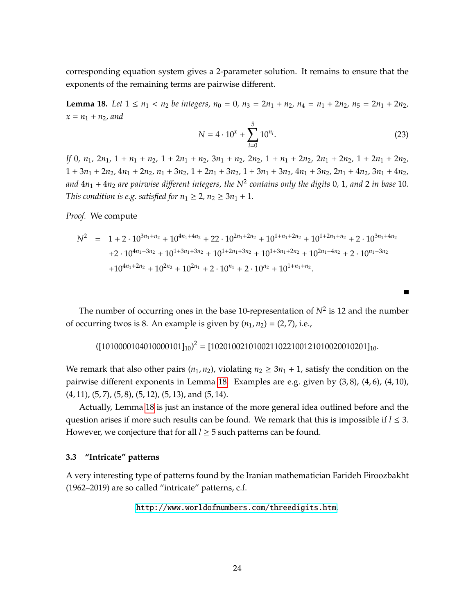corresponding equation system gives a 2-parameter solution. It remains to ensure that the exponents of the remaining terms are pairwise different.

<span id="page-23-1"></span>**Lemma 18.** Let  $1 \le n_1 < n_2$  be integers,  $n_0 = 0$ ,  $n_3 = 2n_1 + n_2$ ,  $n_4 = n_1 + 2n_2$ ,  $n_5 = 2n_1 + 2n_2$ ,  $x = n_1 + n_2$ , and

$$
N = 4 \cdot 10^{x} + \sum_{i=0}^{5} 10^{n_i}.
$$
 (23)

П

If 0,  $n_1$ ,  $2n_1$ ,  $1 + n_1 + n_2$ ,  $1 + 2n_1 + n_2$ ,  $3n_1 + n_2$ ,  $2n_2$ ,  $1 + n_1 + 2n_2$ ,  $2n_1 + 2n_2$ ,  $1 + 2n_1 + 2n_2$ ,  $1 + 3n_1 + 2n_2$ ,  $4n_1 + 2n_2$ ,  $n_1 + 3n_2$ ,  $1 + 2n_1 + 3n_2$ ,  $1 + 3n_1 + 3n_2$ ,  $4n_1 + 3n_2$ ,  $2n_1 + 4n_2$ ,  $3n_1 + 4n_2$ , *and* 4*n*<sup>1</sup> + 4*n*<sup>2</sup> *are pairwise di*ff*erent integers, the N*<sup>2</sup> *contains only the digits* 0*,* 1*, and* 2 *in base* 10*. This condition is e.g. satisfied for*  $n_1 \geq 2$ ,  $n_2 \geq 3n_1 + 1$ .

*Proof.* We compute

$$
N^{2} = 1 + 2 \cdot 10^{3n_{1} + n_{2}} + 10^{4n_{1} + 4n_{2}} + 22 \cdot 10^{2n_{1} + 2n_{2}} + 10^{1 + n_{1} + 2n_{2}} + 10^{1 + 2n_{1} + n_{2}} + 2 \cdot 10^{3n_{1} + 4n_{2}}
$$
  
+2 \cdot 10<sup>4n\_{1} + 3n\_{2}</sup> + 10<sup>1+3n\_{1} + 3n\_{2}</sup> + 10<sup>1+2n\_{1} + 3n\_{2}</sup> + 10<sup>1+3n\_{1} + 2n\_{2}</sup> + 10<sup>2n\_{1} + 4n\_{2}</sup> + 2 \cdot 10<sup>n\_{1} + 3n\_{2}</sup>  
+10<sup>4n\_{1} + 2n\_{2}</sup> + 10<sup>2n\_{2}</sup> + 10<sup>2n\_{1}</sup> + 2 \cdot 10<sup>n\_{1}</sup> + 2 \cdot 10<sup>n\_{2}</sup> + 10<sup>1+n\_{1} + n\_{2}</sup>.

The number of occurring ones in the base 10-representation of  $N^2$  is 12 and the number of occurring twos is 8. An example is given by  $(n_1, n_2) = (2, 7)$ , i.e.,

$$
([1010000104010000101]_{10})^2 = [1020100210100211022100121010020010201]_{10}.
$$

We remark that also other pairs  $(n_1, n_2)$ , violating  $n_2 \geq 3n_1 + 1$ , satisfy the condition on the pairwise different exponents in Lemma [18.](#page-23-1) Examples are e.g. given by (3, 8), (4, 6), (4, 10),  $(4, 11)$ ,  $(5, 7)$ ,  $(5, 8)$ ,  $(5, 12)$ ,  $(5, 13)$ , and  $(5, 14)$ .

Actually, Lemma [18](#page-23-1) is just an instance of the more general idea outlined before and the question arises if more such results can be found. We remark that this is impossible if  $l \leq 3$ . However, we conjecture that for all  $l \geq 5$  such patterns can be found.

## <span id="page-23-0"></span>**3.3 "Intricate" patterns**

A very interesting type of patterns found by the Iranian mathematician Farideh Firoozbakht (1962–2019) are so called "intricate" patterns, c.f.

<http://www.worldofnumbers.com/threedigits.htm>.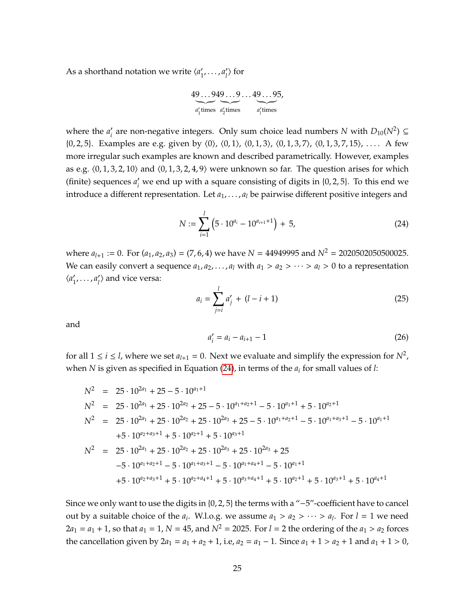As a shorthand notation we write  $\langle a_1 \rangle$  $'_{1}, \ldots, a'_{l}$  $\langle \rangle$  for

49...949...9...49...95,  

$$
a'_1
$$
 times  $a'_2$  times  $a'_1$  times

where the  $a_i'$  $\mathcal{L}_i'$  are non-negative integers. Only sum choice lead numbers *N* with *D*<sub>10</sub>(*N*<sup>2</sup>) ⊆  $\{0, 2, 5\}$ . Examples are e.g. given by  $\langle 0 \rangle$ ,  $\langle 0, 1 \rangle$ ,  $\langle 0, 1, 3 \rangle$ ,  $\langle 0, 1, 3, 7 \rangle$ ,  $\langle 0, 1, 3, 7, 15 \rangle$ , .... A few more irregular such examples are known and described parametrically. However, examples as e.g.  $\langle 0, 1, 3, 2, 10 \rangle$  and  $\langle 0, 1, 3, 2, 4, 9 \rangle$  were unknown so far. The question arises for which (finite) sequences  $a_i$  we end up with a square consisting of digits in  $\{0, 2, 5\}$ . To this end we introduce a different representation. Let  $a_1, \ldots, a_l$  be pairwise different positive integers and

<span id="page-24-0"></span>
$$
N := \sum_{i=1}^{l} \left( 5 \cdot 10^{a_i} - 10^{a_{i+1}+1} \right) + 5, \tag{24}
$$

where  $a_{l+1} := 0$ . For  $(a_1, a_2, a_3) = (7, 6, 4)$  we have  $N = 44949995$  and  $N^2 = 2020502050500025$ . We can easily convert a sequence  $a_1, a_2, \ldots, a_l$  with  $a_1 > a_2 > \cdots > a_l > 0$  to a representation  $\langle a_1'$  $'_{1}, \ldots, a'_{l}$  $\langle l \rangle$  and vice versa:

$$
a_i = \sum_{j=i}^{l} a'_j + (l - i + 1) \tag{25}
$$

and

$$
a_i' = a_i - a_{i+1} - 1 \tag{26}
$$

for all  $1 \le i \le l$ , where we set  $a_{l+1} = 0$ . Next we evaluate and simplify the expression for  $N^2$ , when *N* is given as specified in Equation [\(24\)](#page-24-0), in terms of the *a<sup>i</sup>* for small values of *l*:

$$
N^2 = 25 \cdot 10^{2a_1} + 25 - 5 \cdot 10^{a_1+1}
$$
  
\n
$$
N^2 = 25 \cdot 10^{2a_1} + 25 \cdot 10^{2a_2} + 25 - 5 \cdot 10^{a_1+a_2+1} - 5 \cdot 10^{a_1+1} + 5 \cdot 10^{a_2+1}
$$
  
\n
$$
N^2 = 25 \cdot 10^{2a_1} + 25 \cdot 10^{2a_2} + 25 \cdot 10^{2a_3} + 25 - 5 \cdot 10^{a_1+a_2+1} - 5 \cdot 10^{a_1+a_3+1} - 5 \cdot 10^{a_1+1}
$$
  
\n
$$
+5 \cdot 10^{a_2+a_3+1} + 5 \cdot 10^{a_2+1} + 5 \cdot 10^{a_3+1}
$$
  
\n
$$
N^2 = 25 \cdot 10^{2a_1} + 25 \cdot 10^{2a_2} + 25 \cdot 10^{2a_3} + 25 \cdot 10^{2a_3} + 25
$$
  
\n
$$
-5 \cdot 10^{a_1+a_2+1} - 5 \cdot 10^{a_1+a_3+1} - 5 \cdot 10^{a_1+a_4+1} - 5 \cdot 10^{a_1+1}
$$
  
\n
$$
+5 \cdot 10^{a_2+a_3+1} + 5 \cdot 10^{a_2+a_4+1} + 5 \cdot 10^{a_3+a_4+1} + 5 \cdot 10^{a_2+1} + 5 \cdot 10^{a_3+1} + 5 \cdot 10^{a_4+1}
$$

Since we only want to use the digits in {0, 2, 5} the terms with a "−5"-coefficient have to cancel out by a suitable choice of the  $a_i$ . W.l.o.g. we assume  $a_1 > a_2 > \cdots > a_l$ . For  $l = 1$  we need  $2a_1 = a_1 + 1$ , so that  $a_1 = 1$ ,  $N = 45$ , and  $N^2 = 2025$ . For  $l = 2$  the ordering of the  $a_1 > a_2$  forces the cancellation given by  $2a_1 = a_1 + a_2 + 1$ , i.e,  $a_2 = a_1 - 1$ . Since  $a_1 + 1 > a_2 + 1$  and  $a_1 + 1 > 0$ ,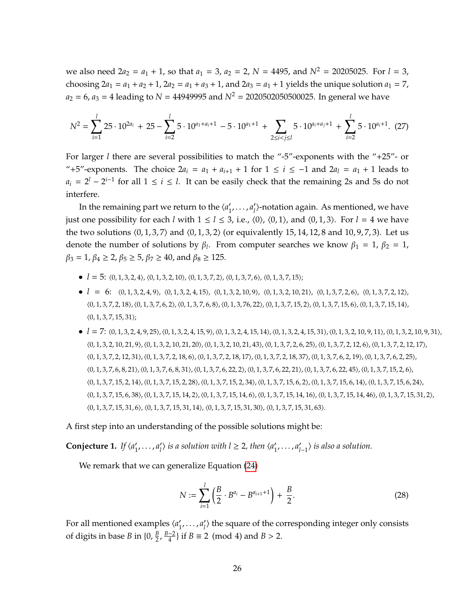we also need  $2a_2 = a_1 + 1$ , so that  $a_1 = 3$ ,  $a_2 = 2$ ,  $N = 4495$ , and  $N^2 = 20205025$ . For  $l = 3$ , choosing  $2a_1 = a_1 + a_2 + 1$ ,  $2a_2 = a_1 + a_3 + 1$ , and  $2a_3 = a_1 + 1$  yields the unique solution  $a_1 = 7$ ,  $a_2 = 6$ ,  $a_3 = 4$  leading to  $N = 44949995$  and  $N^2 = 2020502050500025$ . In general we have

$$
N^2 = \sum_{i=1}^l 25 \cdot 10^{2a_i} + 25 - \sum_{i=2}^l 5 \cdot 10^{a_1 + a_i + 1} - 5 \cdot 10^{a_1 + 1} + \sum_{2 \le i < j \le l} 5 \cdot 10^{a_i + a_j + 1} + \sum_{i=2}^l 5 \cdot 10^{a_i + 1}. \tag{27}
$$

For larger *l* there are several possibilities to match the "-5"-exponents with the "+25"- or "+5"-exponents. The choice  $2a_i = a_1 + a_{i+1} + 1$  for  $1 \le i \le -1$  and  $2a_i = a_1 + 1$  leads to  $a_i = 2^l - 2^{i-1}$  for all  $1 \le i \le l$ . It can be easily check that the remaining 2s and 5s do not interfere.

In the remaining part we return to the  $\langle a_1 \rangle$  $'_{1}, \ldots, a'_{l}$ *l* i-notation again. As mentioned, we have just one possibility for each *l* with  $1 \le l \le 3$ , i.e.,  $\langle 0 \rangle$ ,  $\langle 0, 1 \rangle$ , and  $\langle 0, 1, 3 \rangle$ . For  $l = 4$  we have the two solutions  $(0, 1, 3, 7)$  and  $(0, 1, 3, 2)$  (or equivalently 15, 14, 12, 8 and 10, 9, 7, 3). Let us denote the number of solutions by  $\beta_l$ . From computer searches we know  $\beta_1 = 1$ ,  $\beta_2 = 1$ ,  $\beta_3 = 1$ ,  $\beta_4 \ge 2$ ,  $\beta_5 \ge 5$ ,  $\beta_7 \ge 40$ , and  $\beta_8 \ge 125$ .

- $l = 5$ :  $(0, 1, 3, 2, 4)$ ,  $(0, 1, 3, 2, 10)$ ,  $(0, 1, 3, 7, 2)$ ,  $(0, 1, 3, 7, 6)$ ,  $(0, 1, 3, 7, 15)$ ;
- $l = 6: \langle 0, 1, 3, 2, 4, 9 \rangle, \langle 0, 1, 3, 2, 4, 15 \rangle, \langle 0, 1, 3, 2, 10, 9 \rangle, \langle 0, 1, 3, 2, 10, 21 \rangle, \langle 0, 1, 3, 7, 2, 6 \rangle, \langle 0, 1, 3, 7, 2, 12 \rangle,$  $\langle 0, 1, 3, 7, 2, 18 \rangle$ ,  $\langle 0, 1, 3, 7, 6, 2 \rangle$ ,  $\langle 0, 1, 3, 7, 6, 8 \rangle$ ,  $\langle 0, 1, 3, 76, 22 \rangle$ ,  $\langle 0, 1, 3, 7, 15, 2 \rangle$ ,  $\langle 0, 1, 3, 7, 15, 6 \rangle$ ,  $\langle 0, 1, 3, 7, 15, 14 \rangle$ ,  $(0, 1, 3, 7, 15, 31);$
- $l = 7: \langle 0, 1, 3, 2, 4, 9, 25 \rangle, \langle 0, 1, 3, 2, 4, 15, 9 \rangle, \langle 0, 1, 3, 2, 4, 15, 14 \rangle, \langle 0, 1, 3, 2, 4, 15, 31 \rangle, \langle 0, 1, 3, 2, 10, 9, 11 \rangle, \langle 0, 1, 3, 2, 10, 9, 31 \rangle,$  $\langle 0, 1, 3, 2, 10, 21, 9 \rangle$ ,  $\langle 0, 1, 3, 2, 10, 21, 20 \rangle$ ,  $\langle 0, 1, 3, 2, 10, 21, 43 \rangle$ ,  $\langle 0, 1, 3, 7, 2, 6, 25 \rangle$ ,  $\langle 0, 1, 3, 7, 2, 12, 6 \rangle$ ,  $\langle 0, 1, 3, 7, 2, 12, 17 \rangle$ ,  $\langle 0, 1, 3, 7, 2, 12, 31 \rangle$ ,  $\langle 0, 1, 3, 7, 2, 18, 6 \rangle$ ,  $\langle 0, 1, 3, 7, 2, 18, 17 \rangle$ ,  $\langle 0, 1, 3, 7, 2, 18, 37 \rangle$ ,  $\langle 0, 1, 3, 7, 6, 2, 19 \rangle$ ,  $\langle 0, 1, 3, 7, 6, 2, 25 \rangle$ ,  $\langle 0, 1, 3, 7, 6, 8, 21 \rangle$ , $\langle 0, 1, 3, 7, 6, 8, 31 \rangle$ , $\langle 0, 1, 3, 7, 6, 22, 2 \rangle$ , $\langle 0, 1, 3, 7, 6, 22, 21 \rangle$ , $\langle 0, 1, 3, 7, 6, 22, 45 \rangle$ ,  $\langle 0, 1, 3, 7, 15, 2, 6 \rangle$ ,  $\langle 0, 1, 3, 7, 15, 2, 14 \rangle$ ,  $\langle 0, 1, 3, 7, 15, 2, 28 \rangle$ ,  $\langle 0, 1, 3, 7, 15, 2, 34 \rangle$ ,  $\langle 0, 1, 3, 7, 15, 6, 2 \rangle$ ,  $\langle 0, 1, 3, 7, 15, 6, 14 \rangle$ ,  $\langle 0, 1, 3, 7, 15, 6, 24 \rangle$ ,  $\langle 0, 1, 3, 7, 15, 6, 38 \rangle$ , $\langle 0, 1, 3, 7, 15, 14, 2 \rangle$ , $\langle 0, 1, 3, 7, 15, 14, 6 \rangle$ , $\langle 0, 1, 3, 7, 15, 14, 16 \rangle$ , $\langle 0, 1, 3, 7, 15, 14, 46 \rangle$ , $\langle 0, 1, 3, 7, 15, 31, 2 \rangle$ ,  $\langle 0, 1, 3, 7, 15, 31, 6 \rangle$ ,  $\langle 0, 1, 3, 7, 15, 31, 14 \rangle$ ,  $\langle 0, 1, 3, 7, 15, 31, 30 \rangle$ ,  $\langle 0, 1, 3, 7, 15, 31, 63 \rangle$ .

#### A first step into an understanding of the possible solutions might be:

**Conjecture 1.** *If*  $\langle a_1 \rangle$  $'_{1}, \ldots, a'_{l}$  $\langle l'_{l'} \rangle$  is a solution with  $l \geq 2$ , then  $\langle a'_{l} \rangle$  $'_{1}, \ldots, a'_{l}$ *l*−1 i *is also a solution.*

We remark that we can generalize Equation [\(24\)](#page-24-0)

$$
N := \sum_{i=1}^{l} \left( \frac{B}{2} \cdot B^{a_i} - B^{a_{i+1}+1} \right) + \frac{B}{2}.
$$
 (28)

For all mentioned examples  $\langle a_1 \rangle$  $'_{1}, \ldots, a'_{l}$  $\eta$ <sup>)</sup> the square of the corresponding integer only consists of digits in base *B* in  $\{0, \frac{B}{2}\}$  $\frac{B}{2}$ ,  $\frac{B-2}{4}$  $\frac{-2}{4}$ } if *B* ≡ 2 (mod 4) and *B* > 2.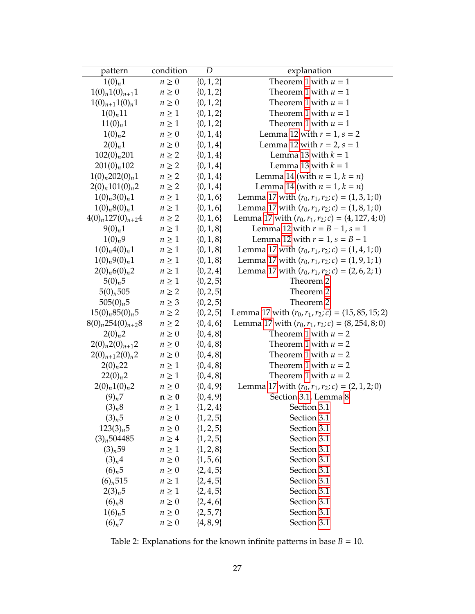<span id="page-26-0"></span>

| pattern                 | condition  | D             | explanation                                          |
|-------------------------|------------|---------------|------------------------------------------------------|
| $1(0)_n 1$              | $n \geq 0$ | $\{0, 1, 2\}$ | Theorem 1 with $u = 1$                               |
| $1(0)_{n}1(0)_{n+1}1$   | $n \geq 0$ | $\{0, 1, 2\}$ | Theorem 1 with $u = 1$                               |
| $1(0)_{n+1}1(0)_n1$     | $n \geq 0$ | $\{0, 1, 2\}$ | Theorem 1 with $u = 1$                               |
| $1(0)_{n}11$            | $n \geq 1$ | $\{0, 1, 2\}$ | Theorem 1 with $u = 1$                               |
| 11(0) <sub>n</sub> 1    | $n \geq 1$ | $\{0, 1, 2\}$ | Theorem 1 with $u = 1$                               |
| 1(0) <sub>n</sub> 2     | $n \geq 0$ | $\{0, 1, 4\}$ | Lemma 12 with $r = 1$ , $s = 2$                      |
| $2(0)_n 1$              | $n \geq 0$ | $\{0, 1, 4\}$ | Lemma 12 with $r = 2$ , $s = 1$                      |
| $102(0)_n 201$          | $n \geq 2$ | $\{0, 1, 4\}$ | Lemma 13 with $k = 1$                                |
| $201(0)_n 102$          | $n \geq 2$ | $\{0, 1, 4\}$ | Lemma 13 with $k = 1$                                |
| $1(0)_n 202(0)_n 1$     | $n \geq 2$ | $\{0, 1, 4\}$ | Lemma 14 (with $n = 1, k = n$ )                      |
| $2(0)_n 101(0)_n 2$     | $n \geq 2$ | $\{0, 1, 4\}$ | Lemma 14 (with $n = 1$ , $k = n$ )                   |
| $1(0)_n 3(0)_n 1$       | $n \geq 1$ | $\{0, 1, 6\}$ | Lemma 17 with $(r_0, r_1, r_2; c) = (1, 3, 1; 0)$    |
| $1(0)_n 8(0)_n 1$       | $n\geq 1$  | $\{0, 1, 6\}$ | Lemma 17 with $(r_0, r_1, r_2; c) = (1, 8, 1; 0)$    |
| $4(0)_n 127(0)_{n+2}4$  | $n \geq 2$ | $\{0, 1, 6\}$ | Lemma 17 with $(r_0, r_1, r_2; c) = (4, 127, 4; 0)$  |
| $9(0)_n 1$              | $n \geq 1$ | $\{0, 1, 8\}$ | Lemma 12 with $r = B - 1$ , $s = 1$                  |
| $1(0)_n9$               | $n \geq 1$ | $\{0, 1, 8\}$ | Lemma 12 with $r = 1$ , $s = B - 1$                  |
| $1(0)_n 4(0)_n 1$       | $n \geq 1$ | $\{0, 1, 8\}$ | Lemma 17 with $(r_0, r_1, r_2; c) = (1, 4, 1; 0)$    |
| $1(0)_n 9(0)_n 1$       | $n \geq 1$ | $\{0, 1, 8\}$ | Lemma 17 with $(r_0, r_1, r_2; c) = (1, 9, 1; 1)$    |
| $2(0)_n 6(0)_n 2$       | $n \geq 1$ | $\{0, 2, 4\}$ | Lemma 17 with $(r_0, r_1, r_2; c) = (2, 6, 2; 1)$    |
| 5(0) <sub>n</sub> 5     | $n\geq 1$  | $\{0, 2, 5\}$ | Theorem 2                                            |
| $5(0)_n 505$            | $n \geq 2$ | $\{0, 2, 5\}$ | Theorem 2                                            |
| $505(0)_n5$             | $n \geq 3$ | $\{0, 2, 5\}$ | Theorem 2                                            |
| $15(0)_n 85(0)_n 5$     | $n \geq 2$ | $\{0, 2, 5\}$ | Lemma 17 with $(r_0, r_1, r_2; c) = (15, 85, 15; 2)$ |
| $8(0)_n 254(0)_{n+2} 8$ | $n \geq 2$ | $\{0, 4, 6\}$ | Lemma 17 with $(r_0, r_1, r_2; c) = (8, 254, 8; 0)$  |
| $2(0)_n 2$              | $n \geq 0$ | $\{0, 4, 8\}$ | Theorem 1 with $u = 2$                               |
| $2(0)_n 2(0)_{n+1} 2$   | $n \geq 0$ | $\{0, 4, 8\}$ | Theorem 1 with $u = 2$                               |
| $2(0)_{n+1}2(0)_n2$     | $n \geq 0$ | $\{0, 4, 8\}$ | Theorem 1 with $u = 2$                               |
| $2(0)_{n}22$            | $n \geq 1$ | $\{0, 4, 8\}$ | Theorem 1 with $u = 2$                               |
| $22(0)_n2$              | $n \geq 1$ | $\{0, 4, 8\}$ | Theorem 1 with $u = 2$                               |
| $2(0)_n 1(0)_n 2$       | $n \geq 0$ | $\{0, 4, 9\}$ | Lemma 17 with $(r_0, r_1, r_2; c) = (2, 1, 2; 0)$    |
| $(9)_n 7$               | $n\geq 0$  | $\{0, 4, 9\}$ | Section 3.1, Lemma 8                                 |
| (3) <sub>n</sub> 8      | $n \geq 1$ | $\{1, 2, 4\}$ | Section 3.1                                          |
| (3) <sub>n</sub> 5      | $n \geq 0$ | $\{1, 2, 5\}$ | Section 3.1                                          |
| 123(3) <sub>n</sub> 5   | $n \geq 0$ | $\{1, 2, 5\}$ | Section 3.1                                          |
| $(3)_n 504485$          | $n \geq 4$ | $\{1, 2, 5\}$ | Section 3.1                                          |
| (3) <sub>n</sub> 59     | $n \geq 1$ | $\{1, 2, 8\}$ | Section 3.1                                          |
| (3) <sub>n</sub> 4      | $n \geq 0$ | $\{1, 5, 6\}$ | Section 3.1                                          |
| $(6)_{n}5$              | $n \geq 0$ | $\{2, 4, 5\}$ | Section 3.1                                          |
| $(6)_{n}$ 515           | $n \geq 1$ | $\{2, 4, 5\}$ | Section 3.1                                          |
| 2(3) <sub>n</sub> 5     | $n \geq 1$ | $\{2, 4, 5\}$ | Section 3.1                                          |
| $(6)_{n}8$              | $n \geq 0$ | $\{2, 4, 6\}$ | Section 3.1                                          |
| $1(6)_n 5$              | $n \geq 0$ | $\{2, 5, 7\}$ | Section 3.1                                          |
| $(6)_{n}7$              | $n \geq 0$ | $\{4, 8, 9\}$ | Section 3.1                                          |

Table 2: Explanations for the known infinite patterns in base  $B = 10$ .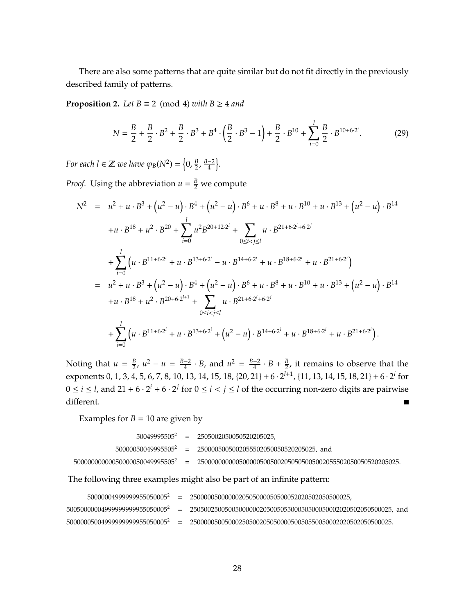There are also some patterns that are quite similar but do not fit directly in the previously described family of patterns.

**Proposition 2.** *Let*  $B \equiv 2 \pmod{4}$  *with*  $B \ge 4$  *and* 

$$
N = \frac{B}{2} + \frac{B}{2} \cdot B^2 + \frac{B}{2} \cdot B^3 + B^4 \cdot \left(\frac{B}{2} \cdot B^3 - 1\right) + \frac{B}{2} \cdot B^{10} + \sum_{i=0}^{l} \frac{B}{2} \cdot B^{10 + 6 \cdot 2^i}.
$$
 (29)

*For each l*  $\in \mathbb{Z}$  *we have*  $\varphi_B(N^2) = \left\{0, \frac{B}{2}\right\}$  $\frac{B}{2}$ ,  $\frac{B-2}{4}$  $\frac{-2}{4}$ .

*Proof.* Using the abbreviation  $u = \frac{B}{2}$  we compute

$$
N^{2} = u^{2} + u \cdot B^{3} + (u^{2} - u) \cdot B^{4} + (u^{2} - u) \cdot B^{6} + u \cdot B^{8} + u \cdot B^{10} + u \cdot B^{13} + (u^{2} - u) \cdot B^{14}
$$
  
\n
$$
+ u \cdot B^{18} + u^{2} \cdot B^{20} + \sum_{i=0}^{l} u^{2} B^{20+12 \cdot 2^{i}} + \sum_{0 \le i < j \le l} u \cdot B^{21+6 \cdot 2^{i} + 6 \cdot 2^{j}}
$$
  
\n
$$
+ \sum_{i=0}^{l} (u \cdot B^{11+6 \cdot 2^{i}} + u \cdot B^{13+6 \cdot 2^{i}} - u \cdot B^{14+6 \cdot 2^{i}} + u \cdot B^{18+6 \cdot 2^{i}} + u \cdot B^{21+6 \cdot 2^{i}})
$$
  
\n
$$
= u^{2} + u \cdot B^{3} + (u^{2} - u) \cdot B^{4} + (u^{2} - u) \cdot B^{6} + u \cdot B^{8} + u \cdot B^{10} + u \cdot B^{13} + (u^{2} - u) \cdot B^{14}
$$
  
\n
$$
+ u \cdot B^{18} + u^{2} \cdot B^{20+6 \cdot 2^{l+1}} + \sum_{0 \le i < j \le l} u \cdot B^{21+6 \cdot 2^{i} + 6 \cdot 2^{j}}
$$
  
\n
$$
+ \sum_{i=0}^{l} (u \cdot B^{11+6 \cdot 2^{i}} + u \cdot B^{13+6 \cdot 2^{i}} + (u^{2} - u) \cdot B^{14+6 \cdot 2^{i}} + u \cdot B^{18+6 \cdot 2^{i}} + u \cdot B^{21+6 \cdot 2^{i}}).
$$

 $\frac{B}{2}$ ,  $u^2 - u = \frac{B-2}{4}$  $\frac{-2}{4} \cdot B$ , and  $u^2 = \frac{B-2}{4}$ Noting that  $u = \frac{B}{2}$  $\frac{-2}{4} \cdot B + \frac{B}{2}$  $\frac{B}{2}$ , it remains to observe that the exponents 0, 1, 3, 4, 5, 6, 7, 8, 10, 13, 14, 15, 18, {20, 21} + 6 · 2<sup>*l*+1</sup>, {11, 13, 14, 15, 18, 21} + 6 · 2<sup>*i*</sup> for  $0 \le i \le l$ , and  $21 + 6 \cdot 2^{i} + 6 \cdot 2^{j}$  for  $0 \le i < j \le l$  of the occurring non-zero digits are pairwise different.  $\blacksquare$ 

Examples for  $B = 10$  are given by

|  | $50049995505^2$ = 2505002050050520205025,                       |
|--|-----------------------------------------------------------------|
|  | $50000050049995505^2$ = 2500005005002055502050050520205025, and |
|  |                                                                 |

The following three examples might also be part of an infinite pattern:

| 50000004999999955050005 <sup>2</sup>       |         |                                                                      |
|--------------------------------------------|---------|----------------------------------------------------------------------|
| 50050000004999999999955050005 <sup>2</sup> |         | $= 2505002500500500000020500505500050500050002020502050500025$ , and |
| 50000005004999999999955050005 <sup>2</sup> | $=$ $-$ |                                                                      |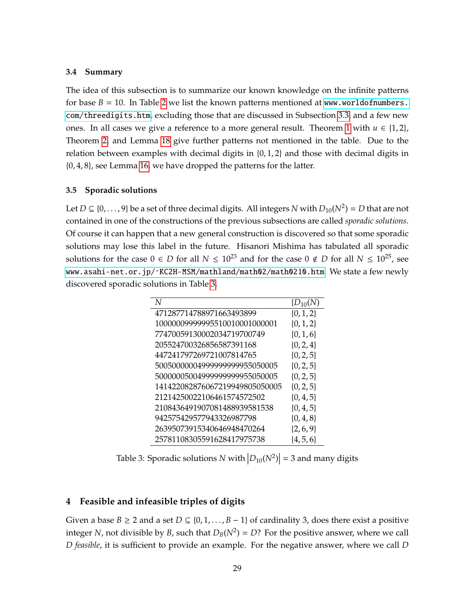#### <span id="page-28-1"></span>**3.4 Summary**

The idea of this subsection is to summarize our known knowledge on the infinite patterns for base  $B = 10$ . In Table [2](#page-26-0) we list the known patterns mentioned at [www.worldofnumbers.](www.worldofnumbers.com/threedigits.htm) [com/threedigits.htm](www.worldofnumbers.com/threedigits.htm), excluding those that are discussed in Subsection [3.3,](#page-23-0) and a few new ones. In all cases we give a reference to a more general result. Theorem [1](#page-16-1) with  $u \in \{1,2\}$ , Theorem [2,](#page-18-2) and Lemma [18](#page-23-1) give further patterns not mentioned in the table. Due to the relation between examples with decimal digits in {0, 1, 2} and those with decimal digits in {0, 4, 8}, see Lemma [16,](#page-17-1) we have dropped the patterns for the latter.

#### <span id="page-28-2"></span>**3.5 Sporadic solutions**

Let  $D \subseteq \{0, \ldots, 9\}$  be a set of three decimal digits. All integers *N* with  $D_{10}(N^2) = D$  that are not contained in one of the constructions of the previous subsections are called *sporadic solutions*. Of course it can happen that a new general construction is discovered so that some sporadic solutions may lose this label in the future. Hisanori Mishima has tabulated all sporadic solutions for the case  $0 \in D$  for all  $N \leq 10^{23}$  and for the case  $0 \notin D$  for all  $N \leq 10^{25}$ , see www.asahi-net.or.jp/~KC2H-MSM/mathland/math02/math0210.htm. We state a few newly discovered sporadic solutions in Table [3.](#page-28-3)

<span id="page-28-3"></span>

| N                              | $\{D_{10}(N)\}$ |
|--------------------------------|-----------------|
| 471287714788971663493899       | $\{0, 1, 2\}$   |
| 10000009999995510010001000001  | $\{0, 1, 2\}$   |
| 77470059130002034719700749     | $\{0, 1, 6\}$   |
| 205524700326856587391168       | $\{0, 2, 4\}$   |
| 447241797269721007814765       | $\{0, 2, 5\}$   |
| 50050000004999999999955050005  | $\{0, 2, 5\}$   |
| 50000005004999999999955050005  | $\{0, 2, 5\}$   |
| 141422082876067219949805050005 | $\{0, 2, 5\}$   |
| 21214250022106461574572502     | $\{0, 4, 5\}$   |
| 2108436491907081488939581538   | $\{0, 4, 5\}$   |
| 942575429577943326987798       | $\{0, 4, 8\}$   |
| 26395073915340646948470264     | $\{2, 6, 9\}$   |
| 25781108305591628417975738     | $\{4, 5, 6\}$   |

Table 3: Sporadic solutions  $N$  with  $\left|D_{10}(N^2)\right|=3$  and many digits

#### <span id="page-28-0"></span>**4 Feasible and infeasible triples of digits**

Given a base *B*  $\geq$  2 and a set *D*  $\subseteq$  {0, 1, . . . , *B* − 1} of cardinality 3, does there exist a positive integer *N,* not divisible by *B,* such that  $D_B(N^2) = D$ ? For the positive answer, where we call *D feasible*, it is sufficient to provide an example. For the negative answer, where we call *D*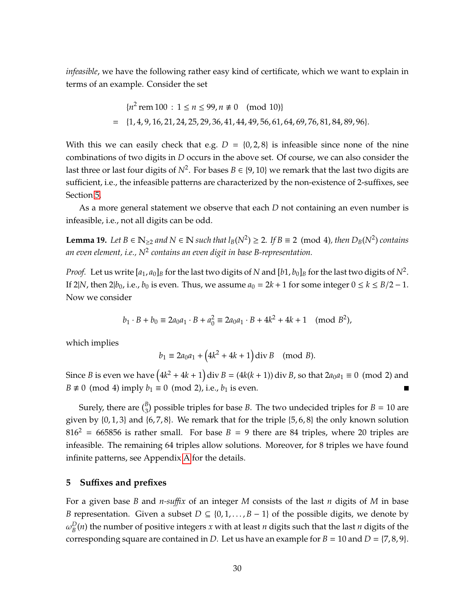*infeasible*, we have the following rather easy kind of certificate, which we want to explain in terms of an example. Consider the set

$$
{n2 rem 100 : 1 ≤ n ≤ 99, n ≠ 0 \pmod{10}}
$$
  
= {1, 4, 9, 16, 21, 24, 25, 29, 36, 41, 44, 49, 56, 61, 64, 69, 76, 81, 84, 89, 96}.

With this we can easily check that e.g.  $D = \{0,2,8\}$  is infeasible since none of the nine combinations of two digits in *D* occurs in the above set. Of course, we can also consider the last three or last four digits of  $N^2$ . For bases  $B \in \{9, 10\}$  we remark that the last two digits are sufficient, i.e., the infeasible patterns are characterized by the non-existence of 2-suffixes, see Section [5.](#page-29-0)

As a more general statement we observe that each *D* not containing an even number is infeasible, i.e., not all digits can be odd.

**Lemma 19.** *Let B* ∈  $\mathbb{N}_{\geq 2}$  *and*  $N \in \mathbb{N}$  *such that*  $l_B(N^2) \geq 2$ *. If*  $B \equiv 2 \pmod{4}$ *, then*  $D_B(N^2)$  *contains an even element, i.e., N*<sup>2</sup> *contains an even digit in base B-representation.*

*Proof.* Let us write  $[a_1, a_0]_B$  for the last two digits of  $N$  and  $[b1, b_0]_B$  for the last two digits of  $N^2$ . If 2|*N*, then 2| $b_0$ , i.e.,  $b_0$  is even. Thus, we assume  $a_0 = 2k + 1$  for some integer  $0 \le k \le B/2 - 1$ . Now we consider

$$
b_1 \cdot B + b_0 \equiv 2a_0a_1 \cdot B + a_0^2 \equiv 2a_0a_1 \cdot B + 4k^2 + 4k + 1 \pmod{B^2},
$$

which implies

$$
b_1 \equiv 2a_0a_1 + (4k^2 + 4k + 1) \text{div } B \pmod{B}
$$
.

Since *B* is even we have  $(4k^2 + 4k + 1)$  div  $B = (4k(k + 1))$  div *B*, so that  $2a_0a_1 \equiv 0 \pmod{2}$  and *B*  $\neq$  0 (mod 4) imply *b*<sub>1</sub>  $\equiv$  0 (mod 2), i.e., *b*<sub>1</sub> is even.

Surely, there are  $\binom{B}{3}$  possible triples for base *B*. The two undecided triples for *B* = 10 are given by  $\{0, 1, 3\}$  and  $\{6, 7, 8\}$ . We remark that for the triple  $\{5, 6, 8\}$  the only known solution  $816<sup>2</sup> = 665856$  is rather small. For base  $B = 9$  there are 84 triples, where 20 triples are infeasible. The remaining 64 triples allow solutions. Moreover, for 8 triples we have found infinite patterns, see Appendix [A](#page-38-3) for the details.

#### <span id="page-29-0"></span>**5 Su**ffi**xes and prefixes**

For a given base *B* and *n-su*ffi*x* of an integer *M* consists of the last *n* digits of *M* in base *B* representation. Given a subset  $D \subseteq \{0, 1, \ldots, B-1\}$  of the possible digits, we denote by  $\omega_{\rm\scriptscriptstyle R}^D$  $B_B^D(n)$  the number of positive integers *x* with at least *n* digits such that the last *n* digits of the corresponding square are contained in *D*. Let us have an example for  $B = 10$  and  $D = \{7, 8, 9\}$ .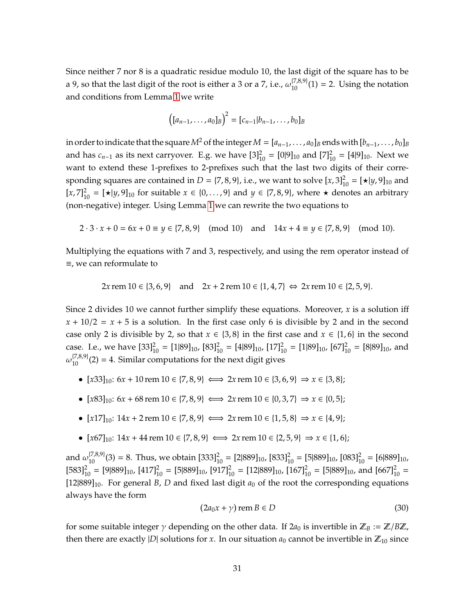Since neither 7 nor 8 is a quadratic residue modulo 10, the last digit of the square has to be a 9, so that the last digit of the root is either a 3 or a 7, i.e.,  $\omega_{10}^{\{7,8,9\}}(1) = 2$ . Using the notation and conditions from Lemma [1](#page-2-1) we write

$$
([a_{n-1},...,a_0]_B)^2 = [c_{n-1}|b_{n-1},...,b_0]_B
$$

in order to indicate that the square  $M^2$  of the integer  $M = [a_{n-1}, \ldots, a_0]_B$  ends with  $[b_{n-1}, \ldots, b_0]_B$ and has  $c_{n-1}$  as its next carryover. E.g. we have  $[3]_{10}^2 = [0]9]_{10}$  and  $[7]_{10}^2 = [4]9]_{10}$ . Next we want to extend these 1-prefixes to 2-prefixes such that the last two digits of their corresponding squares are contained in  $D = \{7, 8, 9\}$ , i.e., we want to solve  $[x, 3]_{10}^2 = [\star|y, 9]_{10}$  and  $[x, 7]_{10}^{2} = [★|y, 9]_{10}$  for suitable  $x \in \{0, ..., 9\}$  and  $y \in \{7, 8, 9\}$ , where ★ denotes an arbitrary (non-negative) integer. Using Lemma [1](#page-2-1) we can rewrite the two equations to

$$
2 \cdot 3 \cdot x + 0 = 6x + 0 \equiv y \in \{7, 8, 9\}
$$
 (mod 10) and  $14x + 4 \equiv y \in \{7, 8, 9\}$  (mod 10).

Multiplying the equations with 7 and 3, respectively, and using the rem operator instead of ≡, we can reformulate to

$$
2x
$$
 rem 10  $\in$  {3, 6, 9} and  $2x + 2$  rem 10  $\in$  {1, 4, 7}  $\Leftrightarrow$  2x rem 10  $\in$  {2, 5, 9}.

Since 2 divides 10 we cannot further simplify these equations. Moreover, *x* is a solution iff  $x + 10/2 = x + 5$  is a solution. In the first case only 6 is divisible by 2 and in the second case only 2 is divisible by 2, so that  $x \in \{3, 8\}$  in the first case and  $x \in \{1, 6\}$  in the second case. I.e., we have  $[33]_{10}^2 = [1|89]_{10}$ ,  $[83]_{10}^2 = [4|89]_{10}$ ,  $[17]_{10}^2 = [1|89]_{10}$ ,  $[67]_{10}^2 = [8|89]_{10}$ , and  $\omega_{10}^{[7,8,9]}(2) = 4$ . Similar computations for the next digit gives

- $[x33]_{10}: 6x + 10$  rem  $10 \in \{7, 8, 9\} \iff 2x$  rem  $10 \in \{3, 6, 9\} \Rightarrow x \in \{3, 8\}$ ;
- $[x83]_{10}: 6x + 68$  rem  $10 \in \{7, 8, 9\} \iff 2x$  rem  $10 \in \{0, 3, 7\} \Rightarrow x \in \{0, 5\};$
- $[x17]_{10}: 14x + 2$  rem  $10 \in \{7, 8, 9\} \iff 2x$  rem  $10 \in \{1, 5, 8\} \Rightarrow x \in \{4, 9\};$
- $[x67]_{10}: 14x + 44$  rem  $10 \in \{7, 8, 9\} \iff 2x$  rem  $10 \in \{2, 5, 9\} \Rightarrow x \in \{1, 6\};$

and  $\omega_{10}^{[7,8,9]}(3) = 8$ . Thus, we obtain  $[333]_{10}^2 = [2|889]_{10}$ ,  $[833]_{10}^2 = [5|889]_{10}$ ,  $[083]_{10}^2 = [6|889]_{10}$ ,  $[583]_{10}^2 = [9|889]_{10}$ ,  $[417]_{10}^2 = [5|889]_{10}$ ,  $[917]_{10}^2 = [12|889]_{10}$ ,  $[167]_{10}^2 = [5|889]_{10}$ , and  $[667]_{10}^2 =$ [12|889]<sub>10</sub>. For general *B*, *D* and fixed last digit  $a_0$  of the root the corresponding equations always have the form

<span id="page-30-0"></span>
$$
(2a_0x + \gamma)\,\mathrm{rem}\,B \in D\tag{30}
$$

for some suitable integer  $\gamma$  depending on the other data. If  $2a_0$  is invertible in  $\mathbb{Z}_B := \mathbb{Z}/B\mathbb{Z}$ , then there are exactly |*D*| solutions for *x*. In our situation  $a_0$  cannot be invertible in  $\mathbb{Z}_{10}$  since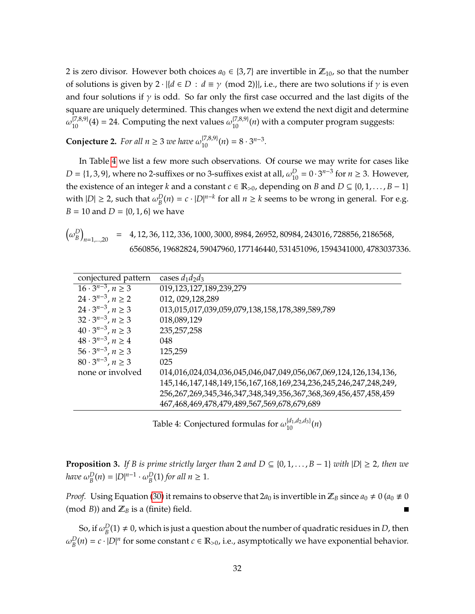2 is zero divisor. However both choices  $a_0 \in \{3, 7\}$  are invertible in  $\mathbb{Z}_{10}$ , so that the number of solutions is given by 2  $\cdot |{d \in D : d \equiv \gamma \pmod{2}}$ , i.e., there are two solutions if  $\gamma$  is even and four solutions if  $\gamma$  is odd. So far only the first case occurred and the last digits of the square are uniquely determined. This changes when we extend the next digit and determine  $\omega_{10}^{[7,8,9]}(4) = 24$ . Computing the next values  $\omega_{10}^{[7,8,9]}(n)$  with a computer program suggests:

<span id="page-31-2"></span>**Conjecture 2.** *For all*  $n \ge 3$  *we have*  $\omega_{10}^{(7,8,9)}(n) = 8 \cdot 3^{n-3}$ *.* 

In Table [4](#page-31-0) we list a few more such observations. Of course we may write for cases like  $D = \{1, 3, 9\}$ , where no 2-suffixes or no 3-suffixes exist at all,  $\omega_{10}^D = 0 \cdot 3^{n-3}$  for  $n \ge 3$ . However, the existence of an integer *k* and a constant  $c \in \mathbb{R}_{>0}$ , depending on *B* and  $D \subseteq \{0, 1, ..., B - 1\}$ with  $|D| \geq 2$ , such that  $\omega_R^D$  $B_B^D(n) = c \cdot |D|^{n-k}$  for all  $n \ge k$  seems to be wrong in general. For e.g. *B* = 10 and *D* = {0, 1, 6} we have

$$
\left(\omega_B^D\right)_{n=1,\dots,20} = 4,12,36,112,336,1000,3000,8984,26952,80984,243016,728856,2186568,\\6560856,19682824,59047960,177146440,531451096,1594341000,4783037336.
$$

<span id="page-31-0"></span>

| conjectured pattern                       | cases $d_1d_2d_3$                                                |
|-------------------------------------------|------------------------------------------------------------------|
| $\overline{16 \cdot 3}^{n-3}$ , $n \ge 3$ | 019,123,127,189,239,279                                          |
| $24 \cdot 3^{n-3}$ , $n \ge 2$            | 012, 029, 128, 289                                               |
| $24 \cdot 3^{n-3}$ , $n \ge 3$            | 013,015,017,039,059,079,138,158,178,389,589,789                  |
| $32 \cdot 3^{n-3}$ , $n \ge 3$            | 018,089,129                                                      |
| $40 \cdot 3^{n-3}$ , $n \ge 3$            | 235, 257, 258                                                    |
| $48 \cdot 3^{n-3}$ , $n \ge 4$            | 048                                                              |
| $56 \cdot 3^{n-3}, n \ge 3$               | 125,259                                                          |
| $80 \cdot 3^{n-3}$ , $n \ge 3$            | 025                                                              |
| none or involved                          | 014,016,024,034,036,045,046,047,049,056,067,069,124,126,134,136, |
|                                           | 145,146,147,148,149,156,167,168,169,234,236,245,246,247,248,249, |
|                                           | 256,267,269,345,346,347,348,349,356,367,368,369,456,457,458,459  |
|                                           | 467,468,469,478,479,489,567,569,678,679,689                      |

Table 4: Conjectured formulas for  $\omega_{10}^{[d_1,d_2,d_3]}(n)$ 

<span id="page-31-1"></span>**Proposition 3.** *If B is prime strictly larger than* 2 *and*  $D \subseteq \{0, 1, \ldots, B - 1\}$  *with*  $|D| \ge 2$ *, then we have* ω *D*  $_{B}^{D}(n) = |D|^{n-1} \cdot \omega_{B}^{D}$  $_B^D(1)$  *for all*  $n \geq 1$ *.* 

*Proof.* Using Equation [\(30\)](#page-30-0) it remains to observe that  $2a_0$  is invertible in  $\mathbb{Z}_B$  since  $a_0 \neq 0$  ( $a_0 \neq 0$ (mod *B*)) and  $\mathbb{Z}_B$  is a (finite) field. П

So, if  $\omega_{\rm B}^D$  $B_B^D(1) \neq 0$ , which is just a question about the number of quadratic residues in *D*, then  $\omega_{\rm\scriptscriptstyle R}^D$  $B_B(n) = c \cdot |D|^n$  for some constant  $c \in \mathbb{R}_{>0}$ , i.e., asymptotically we have exponential behavior.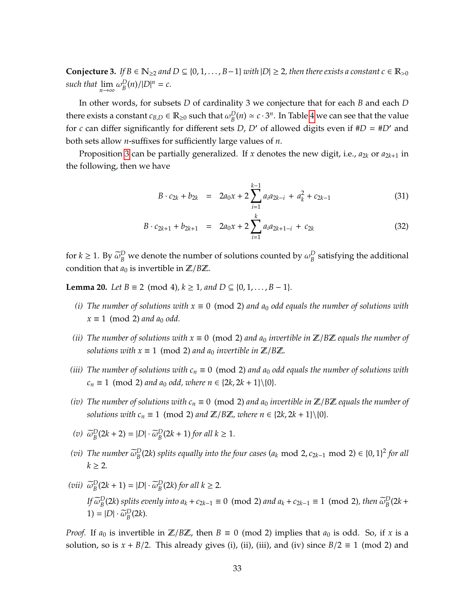<span id="page-32-0"></span>**Conjecture 3.** *If*  $B \in \mathbb{N}_{\geq 2}$  *and*  $D \subseteq \{0, 1, \ldots, B-1\}$  *with*  $|D| \geq 2$ *, then there exists a constant c* ∈  $\mathbb{R}_{> 0}$ *such that*  $\lim_{n\to\infty} \omega_B^D$  $\binom{D}{B}(n)/|D|^n = c.$ 

In other words, for subsets *D* of cardinality 3 we conjecture that for each *B* and each *D* there exists a constant  $c_{B,D} \in \mathbb{R}_{\geq 0}$  such that  $\omega_B^D$  $B_B^D(n) \simeq c \cdot 3^n$ . In Table [4](#page-31-0) we can see that the value for *c* can differ significantly for different sets *D*, *D'* of allowed digits even if  $#D = #D'$  and both sets allow *n*-suffixes for sufficiently large values of *n*.

Proposition [3](#page-31-1) can be partially generalized. If *x* denotes the new digit, i.e., *a*2*<sup>k</sup>* or *a*2*k*+<sup>1</sup> in the following, then we have

$$
B \cdot c_{2k} + b_{2k} = 2a_0x + 2 \sum_{i=1}^{k-1} a_i a_{2k-i} + a_k^2 + c_{2k-1}
$$
 (31)

$$
B \cdot c_{2k+1} + b_{2k+1} = 2a_0x + 2 \sum_{i=1}^k a_i a_{2k+1-i} + c_{2k}
$$
 (32)

for  $k \ge 1$ . By  $\tilde{\omega}_B^D$  we denote the number of solutions counted by  $\omega_B^D$  $_B^D$  satisfying the additional condition that  $a_0$  is invertible in  $\mathbb{Z}/B\mathbb{Z}$ .

**Lemma 20.** *Let B* ≡ 2 (mod 4)*, k* ≥ 1*, and D* ⊆ {0*,* 1*, . . . , B* − 1}*.* 

- *(i) The number of solutions with*  $x \equiv 0 \pmod{2}$  *and a*<sub>0</sub> *odd equals the number of solutions with*  $x \equiv 1 \pmod{2}$  *and a*<sub>0</sub> *odd.*
- *(ii) The number of solutions with*  $x \equiv 0 \pmod{2}$  *and*  $a_0$  *invertible in*  $\mathbb{Z}/B\mathbb{Z}$  *equals the number of solutions with*  $x \equiv 1 \pmod{2}$  *and*  $a_0$  *invertible in*  $\mathbb{Z}/B\mathbb{Z}$ *.*
- *(iii) The number of solutions with*  $c_n \equiv 0 \pmod{2}$  *and a*<sub>0</sub> *odd equals the number of solutions with c*<sub>*n*</sub> ≡ 1 (mod 2) *and a*<sub>0</sub> *odd, where n* ∈ {2*k*, 2*k* + 1}\{0}*.*
- *(iv) The number of solutions with*  $c_n \equiv 0 \pmod{2}$  *and*  $a_0$  *invertible in*  $\mathbb{Z}/B\mathbb{Z}$  *equals the number of solutions with*  $c_n \equiv 1 \pmod{2}$  *and*  $\mathbb{Z}/B\mathbb{Z}$ *, where*  $n \in \{2k, 2k + 1\} \setminus \{0\}$ *.*
- $\widetilde{\omega}_B^D(2k+2) = |D| \cdot \widetilde{\omega}_B^D(2k+1)$  *for all*  $k \ge 1$ *.*
- (*vi*) *The number*  $\tilde{\omega}_{B}^{D}(2k)$  *splits equally into the four cases* ( $a_k \text{ mod } 2$ ,  $c_{2k-1} \text{ mod } 2$ ) ∈ {0, 1}<sup>2</sup> *for all*  $k > 2$ .
- (*vii*)  $\widetilde{\omega}_B^D(2k+1) = |D| \cdot \widetilde{\omega}_B^D(2k)$  *for all*  $k \ge 2$ *. If*  $\widetilde{\omega}_{B}^{D}(2k)$  *splits evenly into a<sub>k</sub>* + *c*<sub>2*k*−1</sub> ≡ 0 (mod 2) *and a<sub>k</sub>* + *c*<sub>2*k*−1</sub> ≡ 1 (mod 2)*, then*  $\widetilde{\omega}_{B}^{D}(2k +$  $1) = |D| \cdot \widetilde{\omega}_B^D(2k).$

*Proof.* If  $a_0$  is invertible in  $\mathbb{Z}/B\mathbb{Z}$ , then  $B \equiv 0 \pmod{2}$  implies that  $a_0$  is odd. So, if *x* is a solution, so is  $x + B/2$ . This already gives (i), (ii), (iii), and (iv) since  $B/2 \equiv 1 \pmod{2}$  and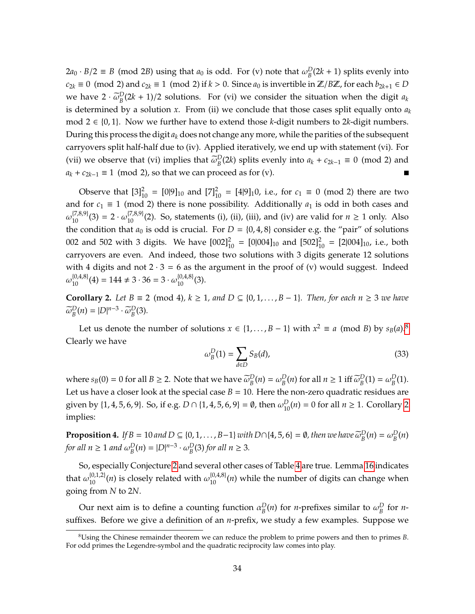$2a_0 \cdot B/2 \equiv B \pmod{2B}$  using that  $a_0$  is odd. For (v) note that  $\omega_B^D$  $B_B^D(2k+1)$  splits evenly into *c*<sub>2*k*</sub> ≡ 0 (mod 2) and *c*<sub>2*k*</sub> ≡ 1 (mod 2) if *k* > 0. Since *a*<sub>0</sub> is invertible in  $\mathbb{Z}/B\mathbb{Z}$ , for each *b*<sub>2*k*+1</sub> ∈ *D* we have  $2 \cdot \tilde{\omega}_B^D(2k+1)/2$  solutions. For (vi) we consider the situation when the digit  $a_k$ is determined by a solution  $x$ . From (ii) we conclude that those cases split equally onto  $a_k$ mod 2 ∈ {0, 1}. Now we further have to extend those *k*-digit numbers to 2*k*-digit numbers. During this process the digit  $a_k$  does not change any more, while the parities of the subsequent carryovers split half-half due to (iv). Applied iteratively, we end up with statement (vi). For (vii) we observe that (vi) implies that  $\tilde{\omega}_B^D(2k)$  splits evenly into  $a_k + c_{2k-1} \equiv 0 \pmod{2}$  and  $a_k + c_{2k-1} \equiv 1 \pmod{2}$ , so that we can proceed as for (v).

Observe that  $[3]_{10}^2 = [0]9]_{10}$  and  $[7]_{10}^2 = [4]9]_{1}0$ , i.e., for  $c_1 \equiv 0 \pmod{2}$  there are two and for  $c_1 \equiv 1 \pmod{2}$  there is none possibility. Additionally  $a_1$  is odd in both cases and  $\omega_{10}^{[7,8,9]}(3) = 2 \cdot \omega_{10}^{[7,8,9]}(2)$ . So, statements (i), (ii), (iii), and (iv) are valid for  $n \ge 1$  only. Also the condition that  $a_0$  is odd is crucial. For  $D = \{0, 4, 8\}$  consider e.g. the "pair" of solutions 002 and 502 with 3 digits. We have  $[002]_{10}^2 = [0|004]_{10}$  and  $[502]_{10}^2 = [2|004]_{10}$ , i.e., both carryovers are even. And indeed, those two solutions with 3 digits generate 12 solutions with 4 digits and not  $2 \cdot 3 = 6$  as the argument in the proof of (v) would suggest. Indeed  $\omega_{10}^{\{0,4,8\}}(4) = 144 \neq 3 \cdot 36 = 3 \cdot \omega_{10}^{\{0,4,8\}}(3).$ 

<span id="page-33-1"></span>**Corollary 2.** *Let*  $B \equiv 2 \pmod{4}$ *,*  $k \ge 1$ *, and*  $D \subseteq \{0, 1, \ldots, B-1\}$ *. Then, for each n* ≥ 3 *we have*  $\widetilde{\omega}_B^D(n) = |D|^{n-3} \cdot \widetilde{\omega}_B^D(3)$ *.* 

Let us denote the number of solutions *x* ∈ {1, . . . , *B* − 1} with  $x^2 \equiv a \pmod{B}$  by  $s_B(a)$ .<sup>[8](#page-33-0)</sup> Clearly we have

$$
\omega_B^D(1) = \sum_{d \in D} S_B(d),\tag{33}
$$

where *s*<sub>*B*</sub>(0) = 0 for all *B*  $\geq$  2. Note that we have  $\widetilde{\omega}_B^D(n) = \omega_B^D$  $B_B^D(n)$  for all  $n \ge 1$  iff  $\tilde{\omega}_B^D(1) = \omega_B^D$  $_{B}^{D}(1).$ Let us have a closer look at the special case  $B = 10$ . Here the non-zero quadratic residues are given by  $\{1, 4, 5, 6, 9\}$ . So, if e.g.  $D \cap \{1, 4, 5, 6, 9\} = \emptyset$ , then  $\omega_{10}^D(n) = 0$  for all  $n \ge 1$ . Corollary [2](#page-33-1) implies:

**Proposition 4.** *If*  $B = 10$  *and*  $D \subseteq \{0, 1, ..., B-1\}$  *with*  $D \cap \{4, 5, 6\} = \emptyset$ , then we have  $\widetilde{\omega}_{B}^{D}(n) = \omega_{B}^{D}$ *B* (*n*) *for all*  $n \geq 1$  *and*  $\omega_R^D$  $_{B}^{D}(n) = |D|^{n-3} \cdot \omega_{B}^{D}$  $_B^D(3)$  *for all*  $n \geq 3$ *.* 

So, especially Conjecture [2](#page-31-2) and several other cases of Table [4](#page-31-0) are true. Lemma [16](#page-17-1) indicates that  $\omega_{10}^{\{0,1,2\}}(n)$  is closely related with  $\omega_{10}^{\{0,4,8\}}(n)$  while the number of digits can change when going from *N* to 2*N*.

Our next aim is to define a counting function  $\alpha_R^D$  $B_B^D(n)$  for *n*-prefixes similar to  $\omega_B^D$  $B$ <sup>D</sup> for *n*suffixes. Before we give a definition of an *n*-prefix, we study a few examples. Suppose we

<span id="page-33-0"></span><sup>8</sup>Using the Chinese remainder theorem we can reduce the problem to prime powers and then to primes *B*. For odd primes the Legendre-symbol and the quadratic reciprocity law comes into play.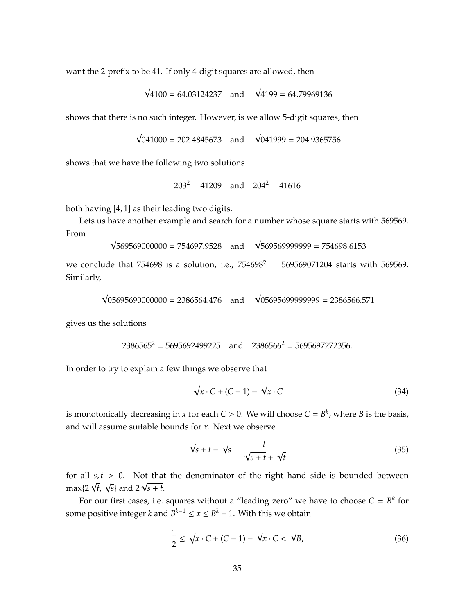want the 2-prefix to be 41. If only 4-digit squares are allowed, then

$$
\sqrt{4100} = 64.03124237
$$
 and  $\sqrt{4199} = 64.79969136$ 

shows that there is no such integer. However, is we allow 5-digit squares, then

$$
\sqrt{041000}
$$
 = 202.4845673 and  $\sqrt{041999}$  = 204.9365756

shows that we have the following two solutions

√

√

 $203^2 = 41209$  and  $204^2 = 41616$ 

both having [4, 1] as their leading two digits.

Lets us have another example and search for a number whose square starts with 569569. From √

$$
\sqrt{569569000000} = 754697.9528 \text{ and } \sqrt{569569999999} = 754698.6153
$$

we conclude that 754698 is a solution, i.e.,  $754698^2 = 569569071204$  starts with 569569. Similarly,

$$
\sqrt{05695690000000} = 2386564.476
$$
 and 
$$
\sqrt{0569569999999} = 2386566.571
$$

gives us the solutions

√

$$
2386565^2 = 5695692499225
$$
 and  $2386566^2 = 5695697272356$ .

In order to try to explain a few things we observe that

$$
\sqrt{x \cdot C + (C - 1)} - \sqrt{x \cdot C} \tag{34}
$$

is monotonically decreasing in *x* for each  $C > 0$ . We will choose  $C = B^k$ , where *B* is the basis, and will assume suitable bounds for *x*. Next we observe

$$
\sqrt{s+t} - \sqrt{s} = \frac{t}{\sqrt{s+t} + \sqrt{t}}
$$
\n(35)

for all  $s, t > 0$ . Not that the denominator of the right hand side is bounded between  $\max\{2\sqrt{t}, \sqrt{s}\}$  and  $2\sqrt{s+t}$ .

For our first cases, i.e. squares without a "leading zero" we have to choose  $C = B^k$  for some positive integer *k* and  $B^{k-1} \le x \le B^k - 1$ . With this we obtain

$$
\frac{1}{2} \leq \sqrt{x \cdot C + (C - 1)} - \sqrt{x \cdot C} < \sqrt{B},\tag{36}
$$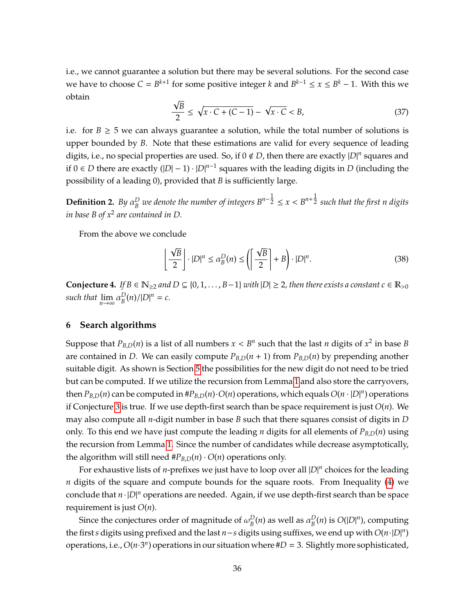i.e., we cannot guarantee a solution but there may be several solutions. For the second case we have to choose  $C = B^{k+1}$  for some positive integer *k* and  $B^{k-1} \le x \le B^k - 1$ . With this we obtain √

$$
\frac{\sqrt{B}}{2} \le \sqrt{x \cdot C + (C - 1)} - \sqrt{x \cdot C} < B,\tag{37}
$$

i.e. for  $B \ge 5$  we can always guarantee a solution, while the total number of solutions is upper bounded by *B*. Note that these estimations are valid for every sequence of leading digits, i.e., no special properties are used. So, if 0 < *D*, then there are exactly |*D*| *n* squares and if 0 ∈ *D* there are exactly  $(|D| - 1) \cdot |D|^{n-1}$  squares with the leading digits in *D* (including the possibility of a leading 0), provided that *B* is sufficiently large.

**Definition 2.** *By*  $\alpha_B^D$ *B* we denote the number of integers  $B^{n-\tfrac{1}{2}} \le x < B^{n+\tfrac{1}{2}}$  such that the first n digits *in base B of x*<sup>2</sup> *are contained in D.*

From the above we conclude

$$
\left\lfloor \frac{\sqrt{B}}{2} \right\rfloor \cdot |D|^n \le \alpha_B^D(n) \le \left( \left\lceil \frac{\sqrt{B}}{2} \right\rceil + B \right) \cdot |D|^n. \tag{38}
$$

<span id="page-35-1"></span>**Conjecture 4.** *If*  $B \in \mathbb{N}_{\geq 2}$  *and*  $D \subseteq \{0, 1, \ldots, B-1\}$  *with*  $|D| \geq 2$ *, then there exists a constant*  $c \in \mathbb{R}_{>0}$ *such that*  $\lim_{n\to\infty} \alpha_B^D$  $\binom{D}{B}(n)/|D|^n = c.$ 

## <span id="page-35-0"></span>**6 Search algorithms**

Suppose that  $P_{B,D}(n)$  is a list of all numbers  $x < B^n$  such that the last *n* digits of  $x^2$  in base *B* are contained in *D*. We can easily compute  $P_{B,D}(n + 1)$  from  $P_{B,D}(n)$  by prepending another suitable digit. As shown is Section [5](#page-29-0) the possibilities for the new digit do not need to be tried but can be computed. If we utilize the recursion from Lemma [1](#page-2-1) and also store the carryovers, then  $P_{B,D}(n)$  can be computed in  $#P_{B,D}(n) \cdot O(n)$  operations, which equals  $O(n \cdot |D|^n)$  operations if Conjecture [3](#page-32-0) is true. If we use depth-first search than be space requirement is just *O*(*n*). We may also compute all *n*-digit number in base *B* such that there squares consist of digits in *D* only. To this end we have just compute the leading *n* digits for all elements of  $P_{B,D}(n)$  using the recursion from Lemma [1.](#page-2-1) Since the number of candidates while decrease asymptotically, the algorithm will still need  $#P_{B,D}(n) \cdot O(n)$  operations only.

For exhaustive lists of *n*-prefixes we just have to loop over all  $|D|^n$  choices for the leading *n* digits of the square and compute bounds for the square roots. From Inequality [\(4\)](#page-35-1) we conclude that *n* · |*D*| *<sup>n</sup>* operations are needed. Again, if we use depth-first search than be space requirement is just *O*(*n*).

Since the conjectures order of magnitude of  $\omega^D_{\text{\tiny R}}$  $_B^D(n)$  as well as  $\alpha_B^D$  $B_B^D(n)$  is  $O(|D|^n)$ , computing the first*s* digits using prefixed and the last *n*−*s* digits using suffixes, we end up with *O*(*n*·|*D*| *n* ) operations, i.e.,  $O(n \cdot 3^n)$  operations in our situation where  $\#D = 3$ . Slightly more sophisticated,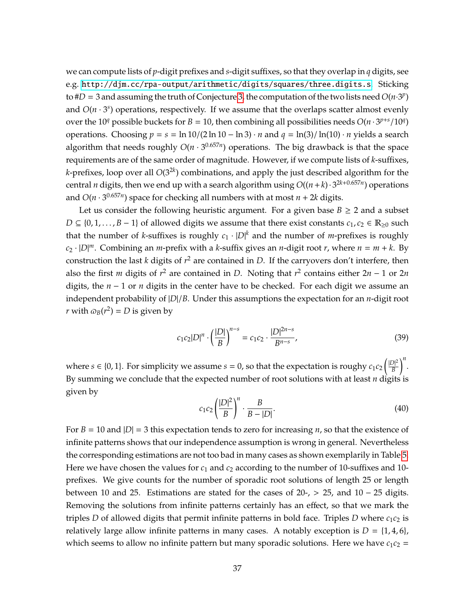we can compute lists of *p*-digit prefixes and *s*-digit suffixes, so that they overlap in *q* digits, see e.g. <http://djm.cc/rpa-output/arithmetic/digits/squares/three.digits.s>. Sticking to  $\#D = 3$  and assuming the truth of Conjecture [3,](#page-32-0) the computation of the two lists need  $O(n \cdot 3^p)$ and  $O(n \cdot 3^s)$  operations, respectively. If we assume that the overlaps scatter almost evenly over the 10<sup>*q*</sup> possible buckets for *B* = 10, then combining all possibilities needs  $O(n \cdot 3^{p+s}/10^q)$ operations. Choosing  $p = s = \ln 10/(2 \ln 10 - \ln 3) \cdot n$  and  $q = \ln(3)/\ln(10) \cdot n$  yields a search algorithm that needs roughly  $O(n \cdot 3^{0.657n})$  operations. The big drawback is that the space requirements are of the same order of magnitude. However, if we compute lists of *k*-suffixes, *k*-prefixes, loop over all *O*(32*<sup>k</sup>* ) combinations, and apply the just described algorithm for the central *n* digits, then we end up with a search algorithm using  $O((n+k)\cdot3^{2k+0.657n})$  operations and  $O(n \cdot 3^{0.657n})$  space for checking all numbers with at most  $n + 2k$  digits.

Let us consider the following heuristic argument. For a given base  $B \ge 2$  and a subset  $D \subseteq \{0, 1, \ldots, B-1\}$  of allowed digits we assume that there exist constants  $c_1, c_2 \in \mathbb{R}_{\geq 0}$  such that the number of *k*-suffixes is roughly  $c_1 \cdot |D|^k$  and the number of *m*-prefixes is roughly  $c_2 \cdot |D|^m$ . Combining an *m*-prefix with a *k*-suffix gives an *n*-digit root *r*, where  $n = m + k$ . By construction the last *k* digits of  $r^2$  are contained in *D*. If the carryovers don't interfere, then also the first *m* digits of  $r^2$  are contained in *D*. Noting that  $r^2$  contains either  $2n - 1$  or  $2n$ digits, the  $n - 1$  or *n* digits in the center have to be checked. For each digit we assume an independent probability of |*D*|/*B*. Under this assumptions the expectation for an *n*-digit root *r* with  $\omega_B(r^2) = D$  is given by

$$
c_1c_2|D|^n \cdot \left(\frac{|D|}{B}\right)^{n-s} = c_1c_2 \cdot \frac{|D|^{2n-s}}{B^{n-s}},\tag{39}
$$

where  $s \in \{0, 1\}$ . For simplicity we assume  $s = 0$ , so that the expectation is roughy  $c_1 c_2 \left(\frac{|D|^2}{B}\right)$ *B n* . By summing we conclude that the expected number of root solutions with at least *n* digits is given by

$$
c_1c_2\left(\frac{|D|^2}{B}\right)^n \cdot \frac{B}{B-|D|}.\tag{40}
$$

For  $B = 10$  and  $|D| = 3$  this expectation tends to zero for increasing *n*, so that the existence of infinite patterns shows that our independence assumption is wrong in general. Nevertheless the corresponding estimations are not too bad in many cases as shown exemplarily in Table [5.](#page-37-0) Here we have chosen the values for *c*<sup>1</sup> and *c*<sup>2</sup> according to the number of 10-suffixes and 10 prefixes. We give counts for the number of sporadic root solutions of length 25 or length between 10 and 25. Estimations are stated for the cases of  $20-$ , > 25, and  $10-25$  digits. Removing the solutions from infinite patterns certainly has an effect, so that we mark the triples *D* of allowed digits that permit infinite patterns in bold face. Triples *D* where  $c_1c_2$  is relatively large allow infinite patterns in many cases. A notably exception is  $D = \{1, 4, 6\}$ , which seems to allow no infinite pattern but many sporadic solutions. Here we have  $c_1c_2 =$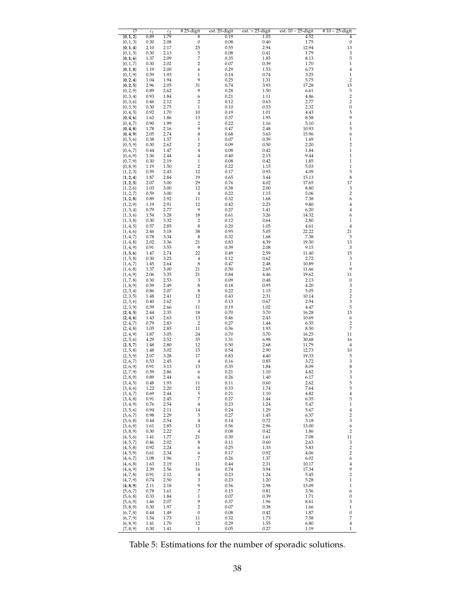<span id="page-37-0"></span>

| $\overline{D}$                 | $c_1$        | c <sub>2</sub> | #25-digit                     | est. 20-digit | $est. > 25$ -digit | est. $10 - 25$ -digit | $#10-25$ -digit                  |
|--------------------------------|--------------|----------------|-------------------------------|---------------|--------------------|-----------------------|----------------------------------|
| ${0, 1, 2}$<br>${0, 1, 3}$     | 0.89<br>0.30 | 1.79<br>2.08   | 8<br>$\boldsymbol{0}$         | 0.19<br>0.08  | 1.03<br>0.40       | 4.52<br>1.75          | 4<br>0                           |
| ${0, 1, 4}$                    | 2.10         | 2.17           | 25                            | 0.55          | 2.94               | 12.94                 | 13                               |
| $\{0, 1, 5\}$                  | 0.30         | 2.13           | $\frac{5}{7}$                 | 0.08          | 0.41               | 1.79                  | 3<br>5                           |
| ${0, 1, 6}$<br>$\{0, 1, 7\}$   | 1.37<br>0.30 | 2.09<br>2.02   | $\overline{2}$                | 0.35<br>0.07  | 1.85<br>0.39       | 8.13<br>1.70          | $\,1\,$                          |
| ${0, 1, 8}$                    | 1.19         | 2.00           | 6                             | 0.29          | 1.53               | 6.73                  | $\bf{4}$                         |
| $\{0, 1, 9\}$                  | 0.59         | 1.93<br>1.94   | $\mathbf{1}$<br>9             | 0.14          | 0.74               | 3.25                  | $\mathbf{1}$<br>$\overline{2}$   |
| ${0, 2, 4}$<br>${0, 2, 5}$     | 1.04<br>2.96 | 2.05           | 31                            | 0.25<br>0.74  | 1.31<br>3.93       | 5.75<br>17.28         | 15                               |
| ${0, 2, 9}$                    | 0.89         | 2.62           | 9                             | 0.28          | 1.50               | 6.61                  | $\overline{5}$                   |
| $\{0, 3, 4\}$<br>$\{0, 3, 6\}$ | 0.93<br>0.46 | 1.84<br>2.12   | 6<br>$\overline{2}$           | 0.21<br>0.12  | 1.11<br>0.63       | 4.86<br>2.77          | $\overline{2}$<br>$\overline{c}$ |
| $\{0, 3, 9\}$                  | 0.30         | 2.75           | $\,1$                         | 0.10          | 0.53               | 2.32                  | $\boldsymbol{0}$                 |
| $\{0, 4, 5\}$                  | 0.92         | 1.70           | 10                            | 0.19          | 1.01               | 4.43                  | 5                                |
| ${0, 4, 6}$<br>$\{0, 4, 7\}$   | 1.62<br>0.90 | 1.86<br>1.99   | 13<br>$\overline{\mathbf{c}}$ | 0.37<br>0.22  | 1.95<br>1.16       | 8.58<br>5.10          | 9<br>$\,1\,$                     |
| ${0, 4, 8}$                    | 1.78         | 2.16           | 9                             | 0.47          | 2.48               | 10.93                 | 5                                |
| ${0, 4, 9}$                    | 2.05         | 2.74           | 8<br>$\mathbf{1}$             | 0.68          | 3.63<br>0.39       | 15.96<br>1.69         | 6<br>$\mathbf{1}$                |
| $\{0, 5, 6\}$<br>$\{0, 5, 9\}$ | 0.38<br>0.30 | 1.57<br>2.62   | $\overline{c}$                | 0.07<br>0.09  | 0.50               | 2.20                  | $\overline{c}$                   |
| $\{0, 6, 7\}$                  | 0.44         | 1.47           | $\overline{4}$                | 0.08          | 0.42               | 1.84                  | $\mathbf{1}$                     |
| $\{0, 6, 9\}$<br>$\{0, 7, 9\}$ | 1.36<br>0.30 | 2.44<br>2.19   | 4<br>$\,1$                    | 0.40<br>0.08  | 2.15<br>0.42       | 9.44<br>1.85          | $\mathbf{1}$<br>$\,1\,$          |
| $\{0, 8, 9\}$                  | 1.19         | 1.50           | 2                             | 0.22          | 1.15               | 5.03                  | $\mathbf{1}$                     |
| $\{1, 2, 3\}$                  | 0.59         | 2.43           | 12                            | 0.17          | 0.93               | 4.09                  | 5                                |
| ${1, 2, 4}$<br>${1, 2, 5}$     | 1.87<br>2.07 | 2.84<br>3.00   | 19<br>29                      | 0.65<br>0.76  | 3.44<br>4.02       | 15.13<br>17.65        | 8<br>17                          |
| ${1, 2, 6}$                    | 1.03         | 3.00           | 12                            | 0.38          | 2.00               | 8.80                  | 3                                |
| $\{1, 2, 7\}$                  | 0.59         | 3.00           | $\overline{4}$                | 0.22          | 1.15               | 5.06                  | $\overline{c}$                   |
| ${1, 2, 8}$<br>${1, 2, 9}$     | 0.89<br>1.19 | 2.92<br>2.91   | 11<br>12                      | 0.32<br>0.42  | 1.68<br>2.23       | 7.38<br>9.80          | 6<br>4                           |
| $\{1, 3, 4\}$                  | 0.79         | 2.77           | 9                             | 0.27          | 1.41               | 6.20                  | 4                                |
| ${1, 3, 6}$                    | 1.54         | 3.28           | 18                            | 0.61          | 3.26               | 14.32                 | 6                                |
| $\{1, 3, 8\}$<br>$\{1, 4, 5\}$ | 0.30<br>0.57 | 3.32<br>2.85   | $\overline{2}$<br>8           | 0.12<br>0.20  | 0.64<br>1.05       | 2.80<br>4.61          | $\mathbf{1}$<br>$\bf{4}$         |
| $\{1, 4, 6\}$                  | 2.46         | 3.18           | 38                            | 0.95          | 5.05               | 22.22                 | 21                               |
| $\{1, 4, 7\}$                  | 0.78         | 3.34           | 8                             | 0.32          | 1.68               | 7.38                  | 5                                |
| ${1, 4, 8}$<br>$\{1, 4, 9\}$   | 2.02<br>0.91 | 3.36<br>3.55   | 21<br>9                       | 0.83<br>0.39  | 4.39<br>2.08       | 19.30<br>9.15         | 13<br>3                          |
| $\{1, 5, 6\}$                  | 1.47         | 2.74           | 22                            | 0.49          | 2.59               | 11.40                 | 15                               |
| $\{1, 5, 8\}$<br>$\{1, 6, 7\}$ | 0.30<br>1.45 | 3.23<br>2.64   | $\overline{4}$<br>$\,$ 8 $\,$ | 0.12<br>0.47  | 0.62<br>2.48       | 2.72<br>10.89         | 3<br>$\,1\,$                     |
| $\{1, 6, 8\}$                  | 1.37         | 3.00           | 21                            | 0.50          | 2.65               | 11.66                 | 9                                |
| $\{1, 6, 9\}$                  | 2.06         | 3.35           | 21                            | 0.84          | 4.46               | 19.62                 | 11                               |
| $\{1, 7, 8\}$<br>$\{1, 8, 9\}$ | 0.30<br>0.59 | 2.53<br>2.49   | 3<br>8                        | 0.09<br>0.18  | 0.48<br>0.95       | 2.13<br>4.20          | $\boldsymbol{0}$<br>3            |
| $\{2, 3, 4\}$                  | 0.86         | 2.07           | 8                             | 0.22          | 1.15               | 5.05                  | $\overline{\mathbf{c}}$          |
| $\{2, 3, 5\}$                  | 1.48         | 2.41           | 12                            | 0.43          | 2.31               | 10.14                 | $\overline{2}$                   |
| $\{2, 3, 6\}$<br>$\{2, 3, 9\}$ | 0.40<br>0.59 | 2.62<br>2.66   | 3<br>11                       | 0.13<br>0.19  | 0.67<br>1.02       | 2.94<br>4.47          | 3<br>5                           |
| $\{2, 4, 5\}$                  | 2.44         | 2.35           | 18                            | 0.70          | 3.70               | 16.28                 | 13                               |
| $\{2, 4, 6\}$                  | 1.43         | 2.63           | 13                            | 0.46          | 2.43               | 10.69                 | 6                                |
| $\{2, 4, 7\}$<br>$\{2, 4, 8\}$ | 0.79<br>1.05 | 2.83<br>2.85   | $\sqrt{2}$<br>11              | 0.27<br>0.36  | 1.44<br>1.93       | 6.35<br>8.50          | $\overline{c}$<br>7              |
| $\{2, 4, 9\}$                  | 1.87         | 3.05           | 24                            | 0.70          | 3.70               | 16.25                 | 11                               |
| $\{2, 5, 6\}$                  | 4.29<br>1.48 | 2.52<br>2.80   | 35<br>12                      | 1.31<br>0.50  | 6.98<br>2.68       | 30.68<br>11.79        | 16<br>$\bf{4}$                   |
| $\{2, 5, 7\}$<br>$\{2, 5, 8\}$ | 1.48         | 3.02           | 15                            | 0.54          | 2.90               | 12.73                 | 10                               |
| $\{2, 5, 9\}$                  | 2.07         | 3.28           | 17                            | 0.83          | 4.40               | 19.33                 | 5                                |
| $\{2, 6, 7\}$<br>$\{2, 6, 9\}$ | 0.53<br>0.91 | 2.45<br>3.13   | $\bf{4}$<br>13                | 0.16<br>0.35  | 0.85<br>1.84       | 3.72<br>8.09          | 3<br>8                           |
| $\{2, 7, 9\}$                  | 0.59         | 2.86           | 6                             | 0.21          | 1.10               | 4.82                  | 3                                |
| ${2, 8, 9}$                    | 0.89         | 2.44           | 6                             | 0.26          | 1.40               | 6.17                  | 3                                |
| $\{3, 4, 5\}$<br>$\{3, 4, 6\}$ | 0.48<br>1.22 | 1.93<br>2.20   | 11<br>12                      | 0.11<br>0.33  | 0.60<br>1.74       | 2.62<br>7.64          | 5<br>5                           |
| $\{3, 4, 7\}$                  | 0.69         | 2.44           | 5                             | 0.21          | 1.10               | 4.82                  | $\bf{4}$                         |
| $\{3, 4, 8\}$                  | 0.91<br>0.76 | 2.45<br>2.54   | $\overline{7}$<br>$\,4\,$     | 0.27<br>0.23  | 1.44<br>1.24       | 6.35<br>5.47          | 5<br>$\,1$                       |
| $\{3, 4, 9\}$<br>$\{3, 5, 6\}$ | 0.94         | 2.11           | 14                            | 0.24          | 1.29               | 5.67                  | $\bf{4}$                         |
| $\{3, 6, 7\}$                  | 0.98         | 2.29           | 5                             | 0.27          | 1.45               | 6.37                  | $\overline{\mathbf{c}}$          |
| $\{3, 6, 8\}$<br>$\{3, 6, 9\}$ | 0.44<br>1.61 | 2.54<br>2.85   | $\bf{4}$<br>13                | 0.14<br>0.56  | 0.72<br>2.96       | 3.18<br>13.00         | 3<br>6                           |
| $\{3, 8, 9\}$                  | 0.30         | 2.22           | 4                             | 0.08          | 0.42               | 1.86                  | $\overline{c}$                   |
| ${4, 5, 6}$                    | 1.41         | 1.77           | 21                            | 0.30          | 1.61               | 7.08                  | $11\,$                           |
| $\{4, 5, 7\}$<br>${4, 5, 8}$   | 0.46<br>0.92 | 2.02<br>2.24   | 8<br>6                        | 0.11<br>0.25  | 0.60<br>1.33       | 2.63<br>5.83          | 3<br>$\overline{2}$              |
| $\{4, 5, 9\}$                  | 0.61         | 2.34           | 6                             | 0.17          | 0.92               | 4.06                  | $\overline{c}$                   |
| ${4, 6, 7}$                    | 1.08         | 1.96           | 7                             | 0.26          | 1.37               | 6.02                  | 6                                |
| $\{4, 6, 8\}$<br>${4, 6, 9}$   | 1.63<br>2.39 | 2.19<br>2.56   | 11<br>16                      | 0.44<br>0.74  | 2.31<br>3.94       | 10.17<br>17.34        | $\bf{4}$<br>9                    |
| $\{4, 7, 8\}$                  | 0.91         | 2.12           | 4                             | 0.23          | 1.24               | 5.45                  | $\,2$                            |
| $\{4, 7, 9\}$                  | 0.74         | 2.50           | 3<br>9                        | 0.23          | 1.20<br>2.98       | 5.28<br>13.09         | $\,1\,$<br>$\,1\,$               |
| ${4, 8, 9}$<br>${5, 6, 7}$     | 2.11<br>0.78 | 2.18<br>1.61   | $\overline{7}$                | 0.56<br>0.15  | 0.81               | 3.56                  | 6                                |
| ${5, 6, 8}$                    | 0.33         | 1.84           | $\,1$                         | 0.07          | 0.39               | 1.71                  | $\boldsymbol{0}$                 |
| ${5, 6, 9}$<br>${5, 8, 9}$     | 1.46<br>0.30 | 2.07<br>1.97   | 9<br>$\overline{\mathbf{c}}$  | 0.37<br>0.07  | 1.96<br>0.38       | 8.61<br>1.66          | 3<br>$\mathbf 1$                 |
| $\{6, 7, 8\}$                  | 0.44         | 1.49           | $\boldsymbol{0}$              | 0.08          | 0.42               | 1.87                  | $\boldsymbol{0}$                 |
| $\{6, 7, 9\}$                  | 1.54         | 1.73           | 11                            | 0.32          | 1.73               | 7.58                  | 7                                |
| ${6, 8, 9}$<br>$\{7, 8, 9\}$   | 1.41<br>0.30 | 1.70<br>1.41   | 12<br>$\mathbf{1}$            | 0.29<br>0.05  | 1.55<br>0.27       | 6.80<br>1.19          | $\overline{4}$<br>$\mathbf 1$    |

Table 5: Estimations for the number of sporadic solutions.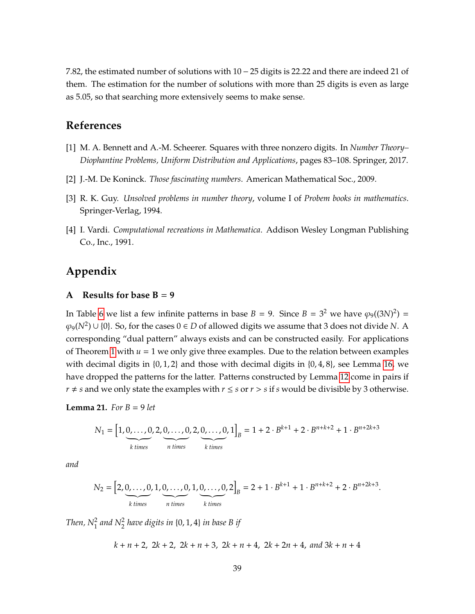7.82, the estimated number of solutions with 10 − 25 digits is 22.22 and there are indeed 21 of them. The estimation for the number of solutions with more than 25 digits is even as large as 5.05, so that searching more extensively seems to make sense.

## **References**

- <span id="page-38-2"></span>[1] M. A. Bennett and A.-M. Scheerer. Squares with three nonzero digits. In *Number Theory– Diophantine Problems, Uniform Distribution and Applications*, pages 83–108. Springer, 2017.
- <span id="page-38-5"></span>[2] J.-M. De Koninck. *Those fascinating numbers*. American Mathematical Soc., 2009.
- <span id="page-38-1"></span>[3] R. K. Guy. *Unsolved problems in number theory*, volume I of *Probem books in mathematics*. Springer-Verlag, 1994.
- <span id="page-38-0"></span>[4] I. Vardi. *Computational recreations in Mathematica*. Addison Wesley Longman Publishing Co., Inc., 1991.

## **Appendix**

### <span id="page-38-3"></span>**A** Results for base  $B = 9$

In Table [6](#page-39-0) we list a few infinite patterns in base  $B = 9$ . Since  $B = 3^2$  we have  $\varphi_9((3N)^2) =$  $\varphi_9(N^2)$  ∪ {0}. So, for the cases 0 ∈ *D* of allowed digits we assume that 3 does not divide *N*. A corresponding "dual pattern" always exists and can be constructed easily. For applications of Theorem [1](#page-16-1) with  $u = 1$  we only give three examples. Due to the relation between examples with decimal digits in  $\{0, 1, 2\}$  and those with decimal digits in  $\{0, 4, 8\}$ , see Lemma [16,](#page-17-1) we have dropped the patterns for the latter. Patterns constructed by Lemma [12](#page-12-0) come in pairs if *r*  $\neq$  *s* and we only state the examples with *r*  $\leq$  *s* or *r*  $>$  *s* if *s* would be divisible by 3 otherwise.

#### <span id="page-38-4"></span>**Lemma 21.** *For*  $B = 9$  *let*

$$
N_1 = \left[1, \underbrace{0, \ldots, 0}_{k \text{ times}}, 2, \underbrace{0, \ldots, 0}_{n \text{ times}}, 2, \underbrace{0, \ldots, 0}_{k \text{ times}}, 1\right]_B = 1 + 2 \cdot B^{k+1} + 2 \cdot B^{n+k+2} + 1 \cdot B^{n+2k+3}
$$

*and*

$$
N_2 = \left[2, \underbrace{0, \ldots, 0}_{k \text{ times}}, 1, \underbrace{0, \ldots, 0}_{n \text{ times}}, 1, \underbrace{0, \ldots, 0}_{k \text{ times}}, 2\right]_B = 2 + 1 \cdot B^{k+1} + 1 \cdot B^{n+k+2} + 2 \cdot B^{n+2k+3}.
$$

Then,  $N_1^2$  and  $N_2^2$  have digits in  $\{0, 1, 4\}$  in base B if

*k* + *n* + 2, 2*k* + 2, 2*k* + *n* + 3, 2*k* + *n* + 4, 2*k* + 2*n* + 4, *and* 3*k* + *n* + 4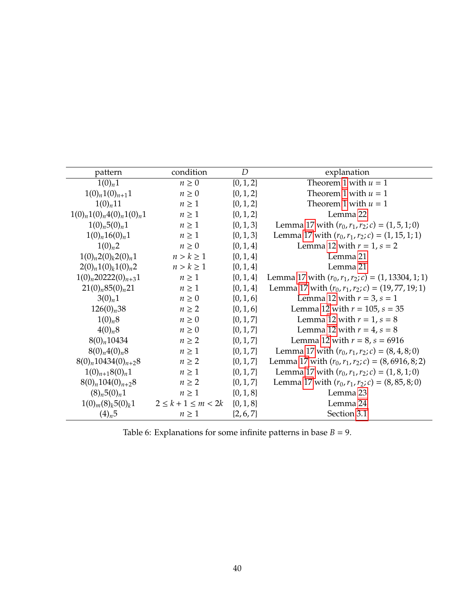<span id="page-39-0"></span>

| pattern                                  | condition                  | D             | explanation                                           |
|------------------------------------------|----------------------------|---------------|-------------------------------------------------------|
| $1(0)_n 1$                               | $n \geq 0$                 | $\{0, 1, 2\}$ | Theorem 1 with $u = 1$                                |
| $1(0)_n 1(0)_{n+1} 1$                    | $n \geq 0$                 | $\{0, 1, 2\}$ | Theorem 1 with $u = 1$                                |
| $1(0)_{n}11$                             | $n \geq 1$                 | $\{0, 1, 2\}$ | Theorem 1 with $u = 1$                                |
| $1(0)_n 1(0)_n 4(0)_n 1(0)_n 1$          | $n \geq 1$                 | $\{0, 1, 2\}$ | Lemma 22                                              |
| $1(0)_n 5(0)_n 1$                        | $n \geq 1$                 | $\{0, 1, 3\}$ | Lemma 17 with $(r_0, r_1, r_2; c) = (1, 5, 1; 0)$     |
| $1(0)_n 16(0)_n 1$                       | $n \geq 1$                 | $\{0, 1, 3\}$ | Lemma 17 with $(r_0, r_1, r_2; c) = (1, 15, 1; 1)$    |
| $1(0)_n 2$                               | $n \geq 0$                 | $\{0, 1, 4\}$ | Lemma 12 with $r = 1$ , $s = 2$                       |
| $1(0)_n 2(0)_k 2(0)_n 1$                 | $n > k \geq 1$             | $\{0, 1, 4\}$ | Lemma 21                                              |
| $2(0)_n 1(0)_k 1(0)_n 2$                 | $n > k \geq 1$             | $\{0, 1, 4\}$ | Lemma 21                                              |
| $1(0)_n 20222(0)_{n+3}1$                 | $n \geq 1$                 | $\{0, 1, 4\}$ | Lemma 17 with $(r_0, r_1, r_2; c) = (1, 13304, 1; 1)$ |
| 21(0) <sub>n</sub> 85(0) <sub>n</sub> 21 | $n \geq 1$                 | $\{0, 1, 4\}$ | Lemma 17 with $(r_0, r_1, r_2; c) = (19, 77, 19; 1)$  |
| $3(0)_n 1$                               | $n \geq 0$                 | $\{0, 1, 6\}$ | Lemma 12 with $r = 3$ , $s = 1$                       |
| $126(0)_n38$                             | $n \geq 2$                 | $\{0, 1, 6\}$ | Lemma 12 with $r = 105$ , $s = 35$                    |
| $1(0)_n8$                                | $n \geq 0$                 | $\{0, 1, 7\}$ | Lemma 12 with $r = 1$ , $s = 8$                       |
| $4(0)_n8$                                | $n \geq 0$                 | $\{0, 1, 7\}$ | Lemma 12 with $r = 4$ , $s = 8$                       |
| $8(0)_n 10434$                           | $n \geq 2$                 | $\{0, 1, 7\}$ | Lemma 12 with $r = 8$ , $s = 6916$                    |
| $8(0)_n 4(0)_n 8$                        | $n \geq 1$                 | $\{0, 1, 7\}$ | Lemma 17 with $(r_0, r_1, r_2; c) = (8, 4, 8; 0)$     |
| $8(0)_n 10434(0)_{n+2}8$                 | $n \geq 2$                 | $\{0, 1, 7\}$ | Lemma 17 with $(r_0, r_1, r_2; c) = (8, 6916, 8; 2)$  |
| $1(0)_{n+1}8(0)_n1$                      | $n \geq 1$                 | $\{0, 1, 7\}$ | Lemma 17 with $(r_0, r_1, r_2; c) = (1, 8, 1; 0)$     |
| $8(0)_n 104(0)_{n+2}8$                   | $n \geq 2$                 | $\{0, 1, 7\}$ | Lemma 17 with $(r_0, r_1, r_2; c) = (8, 85, 8; 0)$    |
| $(8)_n 5(0)_n 1$                         | $n \geq 1$                 | $\{0, 1, 8\}$ | Lemma 23                                              |
| $1(0)m(8)k5(0)k1$                        | $2 \leq k + 1 \leq m < 2k$ | $\{0, 1, 8\}$ | Lemma 24                                              |
| $(4)_{n}5$                               | $n \geq 1$                 | $\{2, 6, 7\}$ | Section 3.1                                           |

Table 6: Explanations for some infinite patterns in base  $B = 9$ .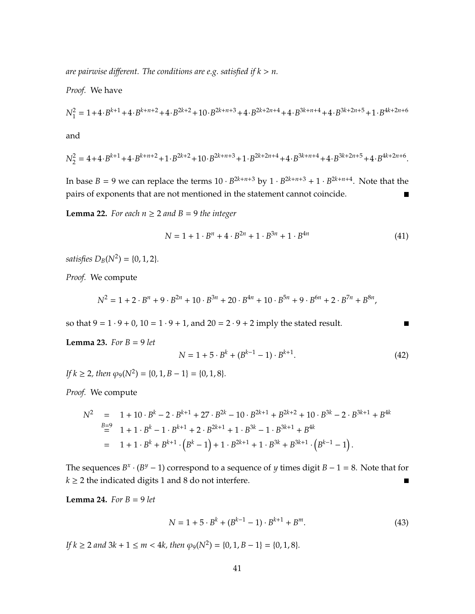are pairwise different. The conditions are e.g. satisfied if  $k > n$ .

*Proof.* We have

$$
N_1^2 = 1 + 4 \cdot B^{k+1} + 4 \cdot B^{k+n+2} + 4 \cdot B^{2k+2} + 10 \cdot B^{2k+n+3} + 4 \cdot B^{2k+2n+4} + 4 \cdot B^{3k+n+4} + 4 \cdot B^{3k+2n+5} + 1 \cdot B^{4k+2n+6}
$$

and

$$
N_2^2 = 4 + 4 \cdot B^{k+1} + 4 \cdot B^{k+n+2} + 1 \cdot B^{2k+2} + 10 \cdot B^{2k+n+3} + 1 \cdot B^{2k+2n+4} + 4 \cdot B^{3k+n+4} + 4 \cdot B^{3k+2n+5} + 4 \cdot B^{4k+2n+6}.
$$

In base *B* = 9 we can replace the terms  $10 \cdot B^{2k+n+3}$  by  $1 \cdot B^{2k+n+3} + 1 \cdot B^{2k+n+4}$ . Note that the pairs of exponents that are not mentioned in the statement cannot coincide.  $\blacksquare$ 

<span id="page-40-0"></span>**Lemma 22.** *For each*  $n \geq 2$  *and*  $B = 9$  *the integer* 

$$
N = 1 + 1 \cdot B^n + 4 \cdot B^{2n} + 1 \cdot B^{3n} + 1 \cdot B^{4n}
$$
 (41)

*satisfies*  $D_B(N^2) = \{0, 1, 2\}.$ 

*Proof.* We compute

$$
N^2 = 1 + 2 \cdot B^n + 9 \cdot B^{2n} + 10 \cdot B^{3n} + 20 \cdot B^{4n} + 10 \cdot B^{5n} + 9 \cdot B^{6n} + 2 \cdot B^{7n} + B^{8n},
$$

so that  $9 = 1 \cdot 9 + 0$ ,  $10 = 1 \cdot 9 + 1$ , and  $20 = 2 \cdot 9 + 2$  imply the stated result.

<span id="page-40-1"></span>**Lemma 23.** *For*  $B = 9$  *let* 

$$
N = 1 + 5 \cdot B^k + (B^{k-1} - 1) \cdot B^{k+1}.
$$
 (42)

 $\blacksquare$ 

 $\text{If } k \geq 2 \text{, then } \varphi_9(N^2) = \{0, 1, B - 1\} = \{0, 1, 8\}.$ 

*Proof.* We compute

$$
N^2 = 1 + 10 \cdot B^k - 2 \cdot B^{k+1} + 27 \cdot B^{2k} - 10 \cdot B^{2k+1} + B^{2k+2} + 10 \cdot B^{3k} - 2 \cdot B^{3k+1} + B^{4k}
$$
  
= 1 + 1 \cdot B^k - 1 \cdot B^{k+1} + 2 \cdot B^{2k+1} + 1 \cdot B^{3k} - 1 \cdot B^{3k+1} + B^{4k}  
= 1 + 1 \cdot B^k + B^{k+1} \cdot (B^k - 1) + 1 \cdot B^{2k+1} + 1 \cdot B^{3k} + B^{3k+1} \cdot (B^{k-1} - 1).

The sequences  $B^x \cdot (B^y - 1)$  correspond to a sequence of *y* times digit  $B - 1 = 8$ . Note that for  $k \geq 2$  the indicated digits 1 and 8 do not interfere.

<span id="page-40-2"></span>**Lemma 24.** *For*  $B = 9$  *let* 

$$
N = 1 + 5 \cdot B^k + (B^{k-1} - 1) \cdot B^{k+1} + B^m. \tag{43}
$$

*If*  $k \ge 2$  *and*  $3k + 1 \le m < 4k$ , then  $\varphi_9(N^2) = \{0, 1, B - 1\} = \{0, 1, 8\}.$